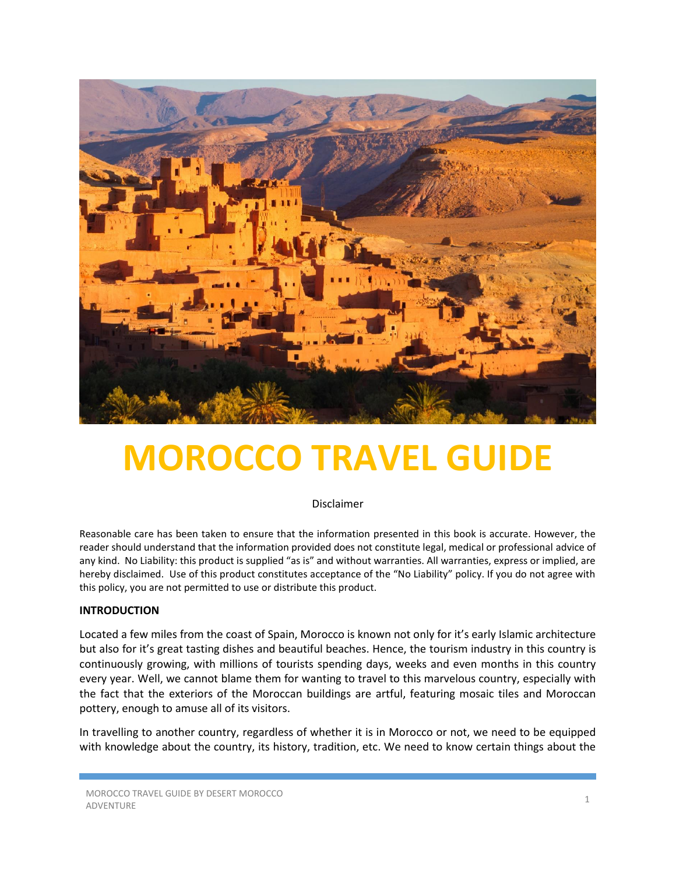

# **MOROCCO TRAVEL GUIDE**

Disclaimer

Reasonable care has been taken to ensure that the information presented in this book is accurate. However, the reader should understand that the information provided does not constitute legal, medical or professional advice of any kind. No Liability: this product is supplied "as is" and without warranties. All warranties, express or implied, are hereby disclaimed. Use of this product constitutes acceptance of the "No Liability" policy. If you do not agree with this policy, you are not permitted to use or distribute this product.

#### **INTRODUCTION**

Located a few miles from the coast of Spain, Morocco is known not only for it's early Islamic architecture but also for it's great tasting dishes and beautiful beaches. Hence, the tourism industry in this country is continuously growing, with millions of tourists spending days, weeks and even months in this country every year. Well, we cannot blame them for wanting to travel to this marvelous country, especially with the fact that the exteriors of the Moroccan buildings are artful, featuring mosaic tiles and Moroccan pottery, enough to amuse all of its visitors.

In travelling to another country, regardless of whether it is in Morocco or not, we need to be equipped with knowledge about the country, its history, tradition, etc. We need to know certain things about the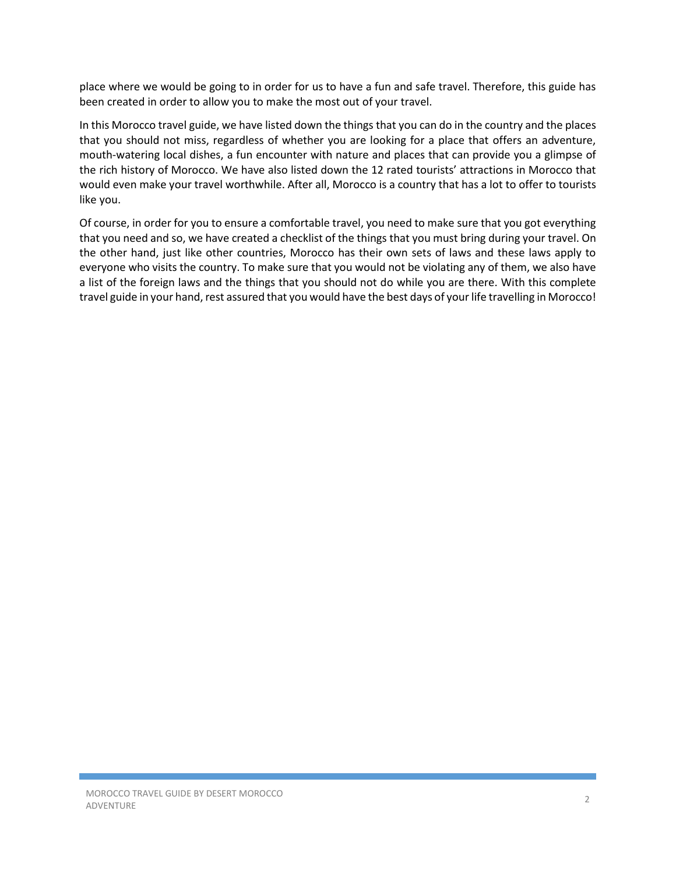place where we would be going to in order for us to have a fun and safe travel. Therefore, this guide has been created in order to allow you to make the most out of your travel.

In this Morocco travel guide, we have listed down the things that you can do in the country and the places that you should not miss, regardless of whether you are looking for a place that offers an adventure, mouth-watering local dishes, a fun encounter with nature and places that can provide you a glimpse of the rich history of Morocco. We have also listed down the 12 rated tourists' attractions in Morocco that would even make your travel worthwhile. After all, Morocco is a country that has a lot to offer to tourists like you.

Of course, in order for you to ensure a comfortable travel, you need to make sure that you got everything that you need and so, we have created a checklist of the things that you must bring during your travel. On the other hand, just like other countries, Morocco has their own sets of laws and these laws apply to everyone who visits the country. To make sure that you would not be violating any of them, we also have a list of the foreign laws and the things that you should not do while you are there. With this complete travel guide in your hand, rest assured that you would have the best days of your life travelling in Morocco!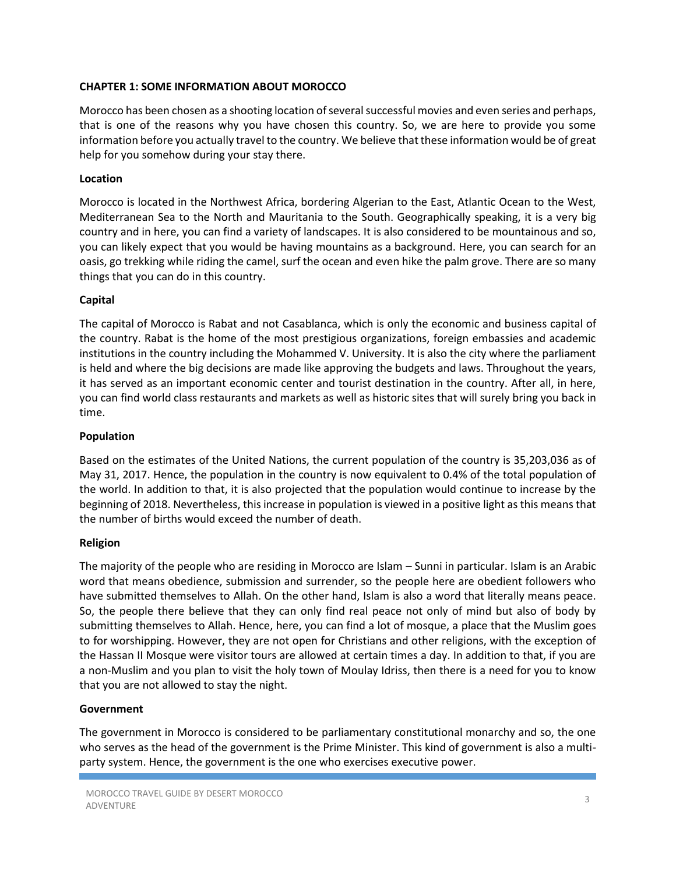# **CHAPTER 1: SOME INFORMATION ABOUT MOROCCO**

Morocco has been chosen as a shooting location of several successful movies and even series and perhaps, that is one of the reasons why you have chosen this country. So, we are here to provide you some information before you actually travel to the country. We believe that these information would be of great help for you somehow during your stay there.

#### **Location**

Morocco is located in the Northwest Africa, bordering Algerian to the East, Atlantic Ocean to the West, Mediterranean Sea to the North and Mauritania to the South. Geographically speaking, it is a very big country and in here, you can find a variety of landscapes. It is also considered to be mountainous and so, you can likely expect that you would be having mountains as a background. Here, you can search for an oasis, go trekking while riding the camel, surf the ocean and even hike the palm grove. There are so many things that you can do in this country.

#### **Capital**

The capital of Morocco is Rabat and not Casablanca, which is only the economic and business capital of the country. Rabat is the home of the most prestigious organizations, foreign embassies and academic institutions in the country including the Mohammed V. University. It is also the city where the parliament is held and where the big decisions are made like approving the budgets and laws. Throughout the years, it has served as an important economic center and tourist destination in the country. After all, in here, you can find world class restaurants and markets as well as historic sites that will surely bring you back in time.

#### **Population**

Based on the estimates of the United Nations, the current population of the country is 35,203,036 as of May 31, 2017. Hence, the population in the country is now equivalent to 0.4% of the total population of the world. In addition to that, it is also projected that the population would continue to increase by the beginning of 2018. Nevertheless, this increase in population is viewed in a positive light as this means that the number of births would exceed the number of death.

#### **Religion**

The majority of the people who are residing in Morocco are Islam – Sunni in particular. Islam is an Arabic word that means obedience, submission and surrender, so the people here are obedient followers who have submitted themselves to Allah. On the other hand, Islam is also a word that literally means peace. So, the people there believe that they can only find real peace not only of mind but also of body by submitting themselves to Allah. Hence, here, you can find a lot of mosque, a place that the Muslim goes to for worshipping. However, they are not open for Christians and other religions, with the exception of the Hassan II Mosque were visitor tours are allowed at certain times a day. In addition to that, if you are a non-Muslim and you plan to visit the holy town of Moulay Idriss, then there is a need for you to know that you are not allowed to stay the night.

#### **Government**

The government in Morocco is considered to be parliamentary constitutional monarchy and so, the one who serves as the head of the government is the Prime Minister. This kind of government is also a multiparty system. Hence, the government is the one who exercises executive power.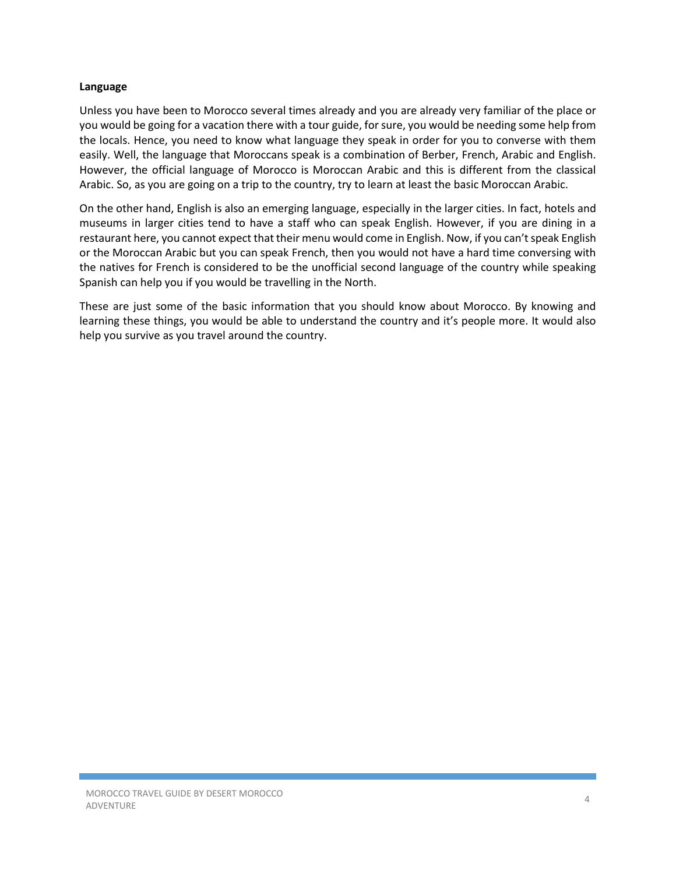#### **Language**

Unless you have been to Morocco several times already and you are already very familiar of the place or you would be going for a vacation there with a tour guide, for sure, you would be needing some help from the locals. Hence, you need to know what language they speak in order for you to converse with them easily. Well, the language that Moroccans speak is a combination of Berber, French, Arabic and English. However, the official language of Morocco is Moroccan Arabic and this is different from the classical Arabic. So, as you are going on a trip to the country, try to learn at least the basic Moroccan Arabic.

On the other hand, English is also an emerging language, especially in the larger cities. In fact, hotels and museums in larger cities tend to have a staff who can speak English. However, if you are dining in a restaurant here, you cannot expect that their menu would come in English. Now, if you can't speak English or the Moroccan Arabic but you can speak French, then you would not have a hard time conversing with the natives for French is considered to be the unofficial second language of the country while speaking Spanish can help you if you would be travelling in the North.

These are just some of the basic information that you should know about Morocco. By knowing and learning these things, you would be able to understand the country and it's people more. It would also help you survive as you travel around the country.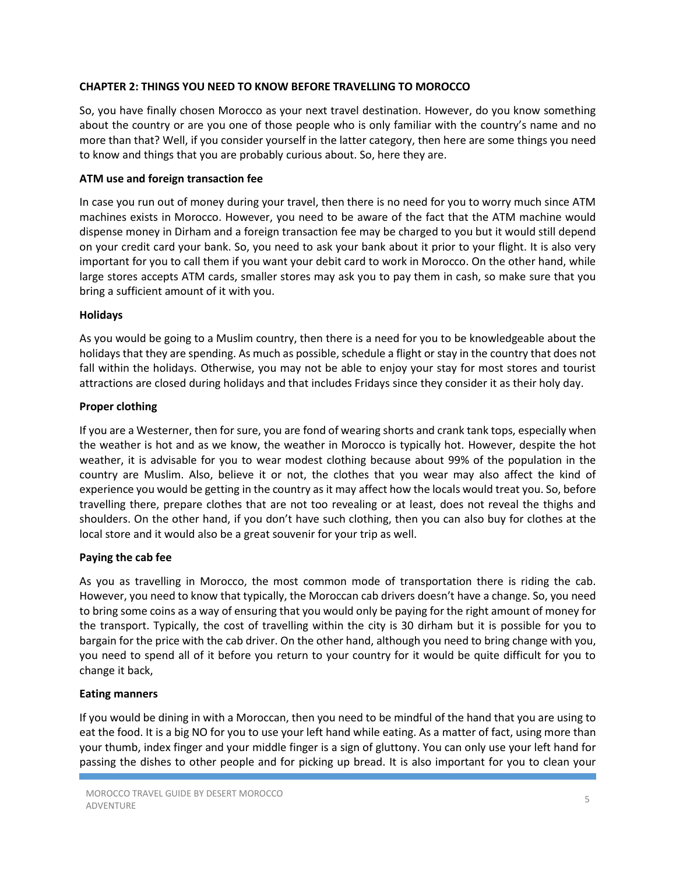# **CHAPTER 2: THINGS YOU NEED TO KNOW BEFORE TRAVELLING TO MOROCCO**

So, you have finally chosen Morocco as your next travel destination. However, do you know something about the country or are you one of those people who is only familiar with the country's name and no more than that? Well, if you consider yourself in the latter category, then here are some things you need to know and things that you are probably curious about. So, here they are.

#### **ATM use and foreign transaction fee**

In case you run out of money during your travel, then there is no need for you to worry much since ATM machines exists in Morocco. However, you need to be aware of the fact that the ATM machine would dispense money in Dirham and a foreign transaction fee may be charged to you but it would still depend on your credit card your bank. So, you need to ask your bank about it prior to your flight. It is also very important for you to call them if you want your debit card to work in Morocco. On the other hand, while large stores accepts ATM cards, smaller stores may ask you to pay them in cash, so make sure that you bring a sufficient amount of it with you.

#### **Holidays**

As you would be going to a Muslim country, then there is a need for you to be knowledgeable about the holidays that they are spending. As much as possible, schedule a flight or stay in the country that does not fall within the holidays. Otherwise, you may not be able to enjoy your stay for most stores and tourist attractions are closed during holidays and that includes Fridays since they consider it as their holy day.

#### **Proper clothing**

If you are a Westerner, then for sure, you are fond of wearing shorts and crank tank tops, especially when the weather is hot and as we know, the weather in Morocco is typically hot. However, despite the hot weather, it is advisable for you to wear modest clothing because about 99% of the population in the country are Muslim. Also, believe it or not, the clothes that you wear may also affect the kind of experience you would be getting in the country as it may affect how the locals would treat you. So, before travelling there, prepare clothes that are not too revealing or at least, does not reveal the thighs and shoulders. On the other hand, if you don't have such clothing, then you can also buy for clothes at the local store and it would also be a great souvenir for your trip as well.

#### **Paying the cab fee**

As you as travelling in Morocco, the most common mode of transportation there is riding the cab. However, you need to know that typically, the Moroccan cab drivers doesn't have a change. So, you need to bring some coins as a way of ensuring that you would only be paying for the right amount of money for the transport. Typically, the cost of travelling within the city is 30 dirham but it is possible for you to bargain for the price with the cab driver. On the other hand, although you need to bring change with you, you need to spend all of it before you return to your country for it would be quite difficult for you to change it back,

#### **Eating manners**

If you would be dining in with a Moroccan, then you need to be mindful of the hand that you are using to eat the food. It is a big NO for you to use your left hand while eating. As a matter of fact, using more than your thumb, index finger and your middle finger is a sign of gluttony. You can only use your left hand for passing the dishes to other people and for picking up bread. It is also important for you to clean your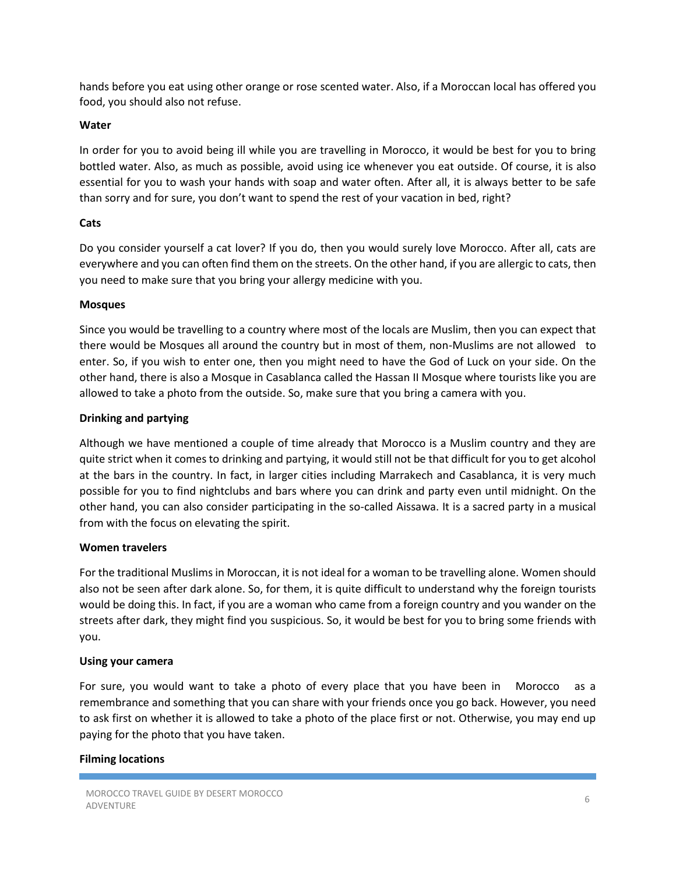hands before you eat using other orange or rose scented water. Also, if a Moroccan local has offered you food, you should also not refuse.

#### **Water**

In order for you to avoid being ill while you are travelling in Morocco, it would be best for you to bring bottled water. Also, as much as possible, avoid using ice whenever you eat outside. Of course, it is also essential for you to wash your hands with soap and water often. After all, it is always better to be safe than sorry and for sure, you don't want to spend the rest of your vacation in bed, right?

#### **Cats**

Do you consider yourself a cat lover? If you do, then you would surely love Morocco. After all, cats are everywhere and you can often find them on the streets. On the other hand, if you are allergic to cats, then you need to make sure that you bring your allergy medicine with you.

#### **Mosques**

Since you would be travelling to a country where most of the locals are Muslim, then you can expect that there would be Mosques all around the country but in most of them, non-Muslims are not allowed to enter. So, if you wish to enter one, then you might need to have the God of Luck on your side. On the other hand, there is also a Mosque in Casablanca called the Hassan II Mosque where tourists like you are allowed to take a photo from the outside. So, make sure that you bring a camera with you.

# **Drinking and partying**

Although we have mentioned a couple of time already that Morocco is a Muslim country and they are quite strict when it comes to drinking and partying, it would still not be that difficult for you to get alcohol at the bars in the country. In fact, in larger cities including Marrakech and Casablanca, it is very much possible for you to find nightclubs and bars where you can drink and party even until midnight. On the other hand, you can also consider participating in the so-called Aissawa. It is a sacred party in a musical from with the focus on elevating the spirit.

#### **Women travelers**

For the traditional Muslims in Moroccan, it is not ideal for a woman to be travelling alone. Women should also not be seen after dark alone. So, for them, it is quite difficult to understand why the foreign tourists would be doing this. In fact, if you are a woman who came from a foreign country and you wander on the streets after dark, they might find you suspicious. So, it would be best for you to bring some friends with you.

#### **Using your camera**

For sure, you would want to take a photo of every place that you have been in Morocco as a remembrance and something that you can share with your friends once you go back. However, you need to ask first on whether it is allowed to take a photo of the place first or not. Otherwise, you may end up paying for the photo that you have taken.

# **Filming locations**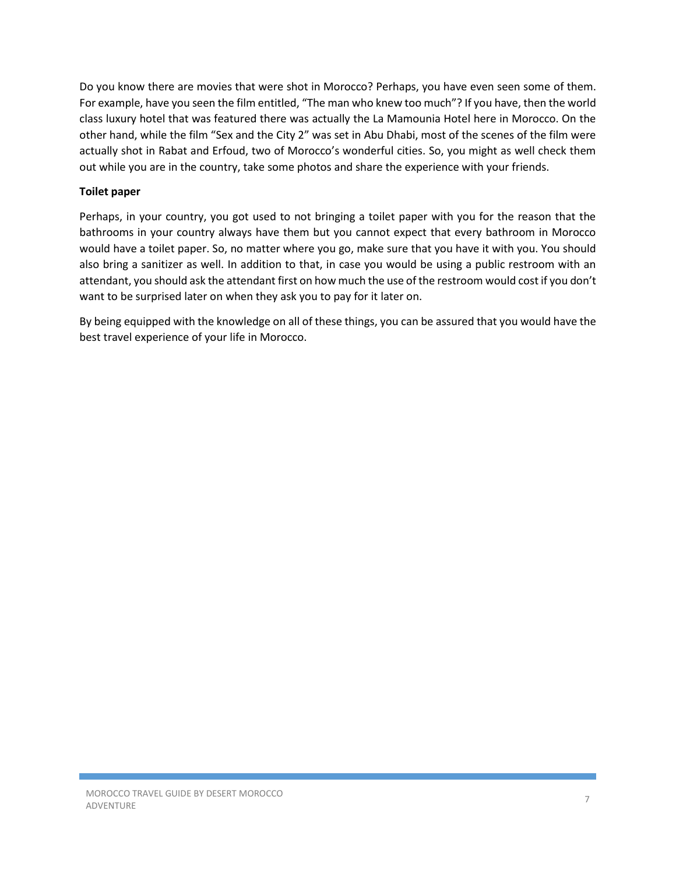Do you know there are movies that were shot in Morocco? Perhaps, you have even seen some of them. For example, have you seen the film entitled, "The man who knew too much"? If you have, then the world class luxury hotel that was featured there was actually the La Mamounia Hotel here in Morocco. On the other hand, while the film "Sex and the City 2" was set in Abu Dhabi, most of the scenes of the film were actually shot in Rabat and Erfoud, two of Morocco's wonderful cities. So, you might as well check them out while you are in the country, take some photos and share the experience with your friends.

# **Toilet paper**

Perhaps, in your country, you got used to not bringing a toilet paper with you for the reason that the bathrooms in your country always have them but you cannot expect that every bathroom in Morocco would have a toilet paper. So, no matter where you go, make sure that you have it with you. You should also bring a sanitizer as well. In addition to that, in case you would be using a public restroom with an attendant, you should ask the attendant first on how much the use of the restroom would cost if you don't want to be surprised later on when they ask you to pay for it later on.

By being equipped with the knowledge on all of these things, you can be assured that you would have the best travel experience of your life in Morocco.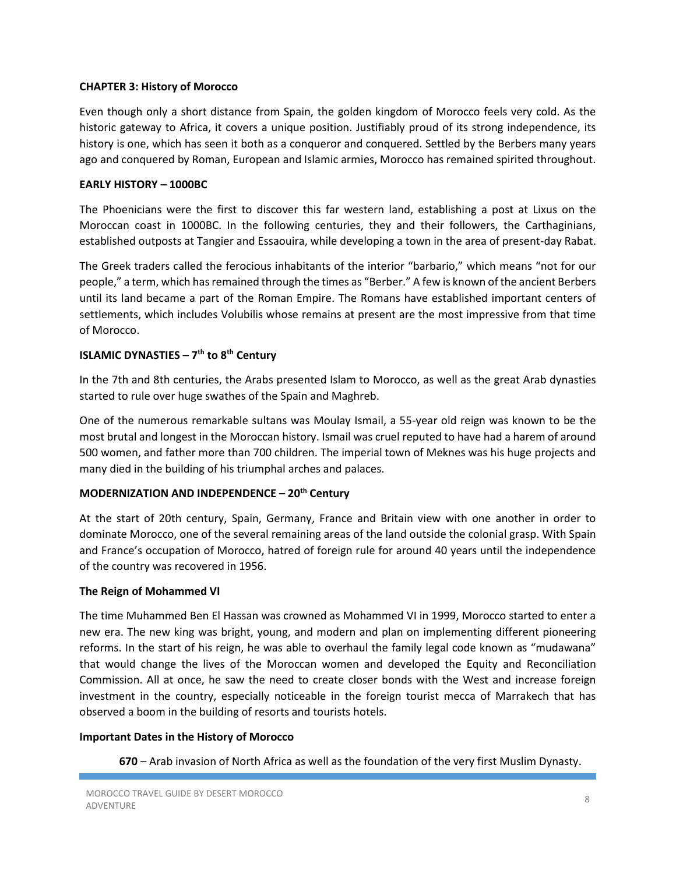#### **CHAPTER 3: History of Morocco**

Even though only a short distance from Spain, the golden kingdom of Morocco feels very cold. As the historic gateway to Africa, it covers a unique position. Justifiably proud of its strong independence, its history is one, which has seen it both as a conqueror and conquered. Settled by the Berbers many years ago and conquered by Roman, European and Islamic armies, Morocco has remained spirited throughout.

#### **EARLY HISTORY – 1000BC**

The Phoenicians were the first to discover this far western land, establishing a post at Lixus on the Moroccan coast in 1000BC. In the following centuries, they and their followers, the Carthaginians, established outposts at Tangier and Essaouira, while developing a town in the area of present-day Rabat.

The Greek traders called the ferocious inhabitants of the interior "barbario," which means "not for our people," a term, which has remained through the times as "Berber." A few is known of the ancient Berbers until its land became a part of the Roman Empire. The Romans have established important centers of settlements, which includes Volubilis whose remains at present are the most impressive from that time of Morocco.

# **ISLAMIC DYNASTIES – 7th to 8th Century**

In the 7th and 8th centuries, the Arabs presented Islam to Morocco, as well as the great Arab dynasties started to rule over huge swathes of the Spain and Maghreb.

One of the numerous remarkable sultans was Moulay Ismail, a 55-year old reign was known to be the most brutal and longest in the Moroccan history. Ismail was cruel reputed to have had a harem of around 500 women, and father more than 700 children. The imperial town of Meknes was his huge projects and many died in the building of his triumphal arches and palaces.

# **MODERNIZATION AND INDEPENDENCE – 20th Century**

At the start of 20th century, Spain, Germany, France and Britain view with one another in order to dominate Morocco, one of the several remaining areas of the land outside the colonial grasp. With Spain and France's occupation of Morocco, hatred of foreign rule for around 40 years until the independence of the country was recovered in 1956.

#### **The Reign of Mohammed VI**

The time Muhammed Ben El Hassan was crowned as Mohammed VI in 1999, Morocco started to enter a new era. The new king was bright, young, and modern and plan on implementing different pioneering reforms. In the start of his reign, he was able to overhaul the family legal code known as "mudawana" that would change the lives of the Moroccan women and developed the Equity and Reconciliation Commission. All at once, he saw the need to create closer bonds with the West and increase foreign investment in the country, especially noticeable in the foreign tourist mecca of Marrakech that has observed a boom in the building of resorts and tourists hotels.

#### **Important Dates in the History of Morocco**

**670** – Arab invasion of North Africa as well as the foundation of the very first Muslim Dynasty.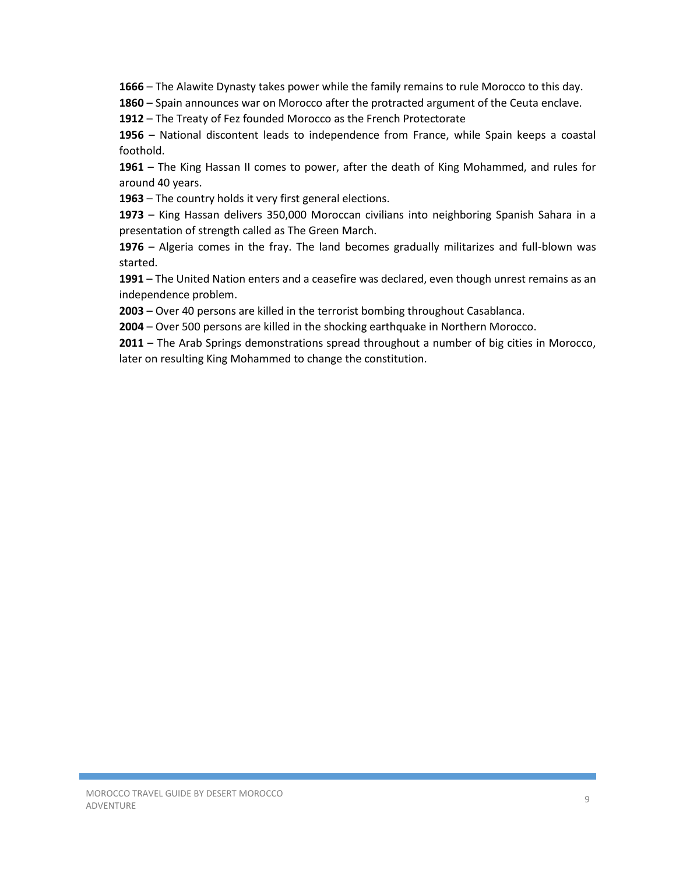**1666** – The Alawite Dynasty takes power while the family remains to rule Morocco to this day.

**1860** – Spain announces war on Morocco after the protracted argument of the Ceuta enclave.

**1912** – The Treaty of Fez founded Morocco as the French Protectorate

**1956** – National discontent leads to independence from France, while Spain keeps a coastal foothold.

**1961** – The King Hassan II comes to power, after the death of King Mohammed, and rules for around 40 years.

**1963** – The country holds it very first general elections.

**1973** – King Hassan delivers 350,000 Moroccan civilians into neighboring Spanish Sahara in a presentation of strength called as The Green March.

**1976** – Algeria comes in the fray. The land becomes gradually militarizes and full-blown was started.

**1991** – The United Nation enters and a ceasefire was declared, even though unrest remains as an independence problem.

**2003** – Over 40 persons are killed in the terrorist bombing throughout Casablanca.

**2004** – Over 500 persons are killed in the shocking earthquake in Northern Morocco.

**2011** – The Arab Springs demonstrations spread throughout a number of big cities in Morocco, later on resulting King Mohammed to change the constitution.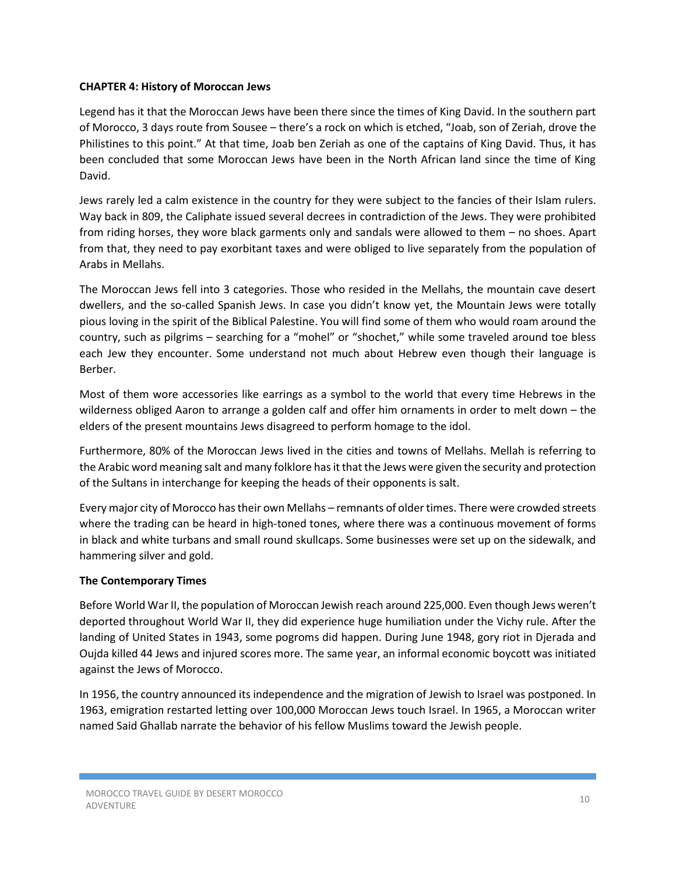#### **CHAPTER 4: History of Moroccan Jews**

Legend has it that the Moroccan Jews have been there since the times of King David. In the southern part of Morocco, 3 days route from Sousee – there's a rock on which is etched, "Joab, son of Zeriah, drove the Philistines to this point." At that time, Joab ben Zeriah as one of the captains of King David. Thus, it has been concluded that some Moroccan Jews have been in the North African land since the time of King David.

Jews rarely led a calm existence in the country for they were subject to the fancies of their Islam rulers. Way back in 809, the Caliphate issued several decrees in contradiction of the Jews. They were prohibited from riding horses, they wore black garments only and sandals were allowed to them – no shoes. Apart from that, they need to pay exorbitant taxes and were obliged to live separately from the population of Arabs in Mellahs.

The Moroccan Jews fell into 3 categories. Those who resided in the Mellahs, the mountain cave desert dwellers, and the so-called Spanish Jews. In case you didn't know yet, the Mountain Jews were totally pious loving in the spirit of the Biblical Palestine. You will find some of them who would roam around the country, such as pilgrims – searching for a "mohel" or "shochet," while some traveled around toe bless each Jew they encounter. Some understand not much about Hebrew even though their language is Berber.

Most of them wore accessories like earrings as a symbol to the world that every time Hebrews in the wilderness obliged Aaron to arrange a golden calf and offer him ornaments in order to melt down – the elders of the present mountains Jews disagreed to perform homage to the idol.

Furthermore, 80% of the Moroccan Jews lived in the cities and towns of Mellahs. Mellah is referring to the Arabic word meaning salt and many folklore has it that the Jews were given the security and protection of the Sultans in interchange for keeping the heads of their opponents is salt.

Every major city of Morocco has their own Mellahs – remnants of older times. There were crowded streets where the trading can be heard in high-toned tones, where there was a continuous movement of forms in black and white turbans and small round skullcaps. Some businesses were set up on the sidewalk, and hammering silver and gold.

# **The Contemporary Times**

Before World War II, the population of Moroccan Jewish reach around 225,000. Even though Jews weren't deported throughout World War II, they did experience huge humiliation under the Vichy rule. After the landing of United States in 1943, some pogroms did happen. During June 1948, gory riot in Djerada and Oujda killed 44 Jews and injured scores more. The same year, an informal economic boycott was initiated against the Jews of Morocco.

In 1956, the country announced its independence and the migration of Jewish to Israel was postponed. In 1963, emigration restarted letting over 100,000 Moroccan Jews touch Israel. In 1965, a Moroccan writer named Said Ghallab narrate the behavior of his fellow Muslims toward the Jewish people.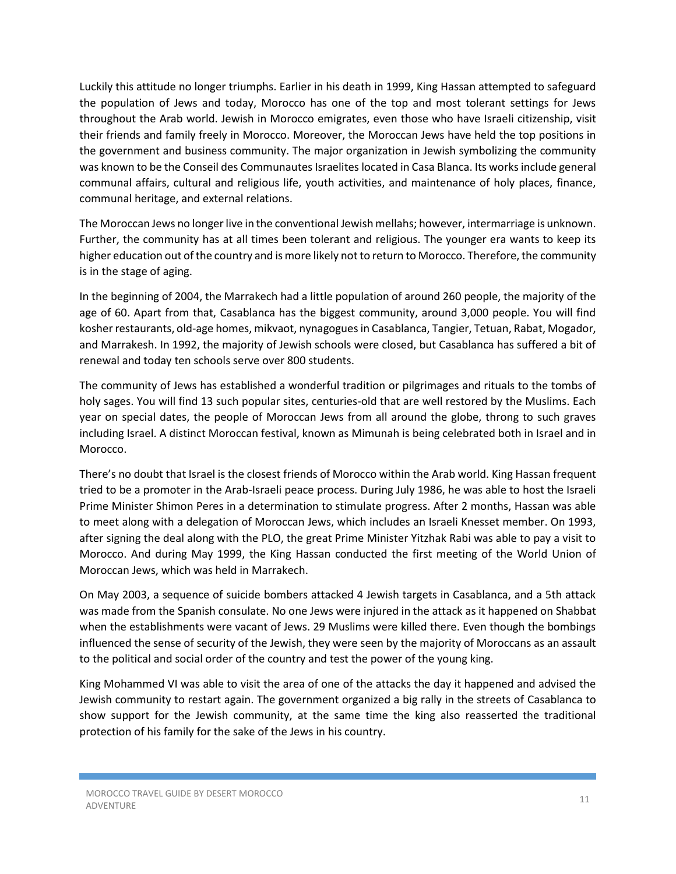Luckily this attitude no longer triumphs. Earlier in his death in 1999, King Hassan attempted to safeguard the population of Jews and today, Morocco has one of the top and most tolerant settings for Jews throughout the Arab world. Jewish in Morocco emigrates, even those who have Israeli citizenship, visit their friends and family freely in Morocco. Moreover, the Moroccan Jews have held the top positions in the government and business community. The major organization in Jewish symbolizing the community was known to be the Conseil des Communautes Israelites located in Casa Blanca. Its works include general communal affairs, cultural and religious life, youth activities, and maintenance of holy places, finance, communal heritage, and external relations.

The Moroccan Jews no longer live in the conventional Jewish mellahs; however, intermarriage is unknown. Further, the community has at all times been tolerant and religious. The younger era wants to keep its higher education out of the country and is more likely not to return to Morocco. Therefore, the community is in the stage of aging.

In the beginning of 2004, the Marrakech had a little population of around 260 people, the majority of the age of 60. Apart from that, Casablanca has the biggest community, around 3,000 people. You will find kosher restaurants, old-age homes, mikvaot, nynagogues in Casablanca, Tangier, Tetuan, Rabat, Mogador, and Marrakesh. In 1992, the majority of Jewish schools were closed, but Casablanca has suffered a bit of renewal and today ten schools serve over 800 students.

The community of Jews has established a wonderful tradition or pilgrimages and rituals to the tombs of holy sages. You will find 13 such popular sites, centuries-old that are well restored by the Muslims. Each year on special dates, the people of Moroccan Jews from all around the globe, throng to such graves including Israel. A distinct Moroccan festival, known as Mimunah is being celebrated both in Israel and in Morocco.

There's no doubt that Israel is the closest friends of Morocco within the Arab world. King Hassan frequent tried to be a promoter in the Arab-Israeli peace process. During July 1986, he was able to host the Israeli Prime Minister Shimon Peres in a determination to stimulate progress. After 2 months, Hassan was able to meet along with a delegation of Moroccan Jews, which includes an Israeli Knesset member. On 1993, after signing the deal along with the PLO, the great Prime Minister Yitzhak Rabi was able to pay a visit to Morocco. And during May 1999, the King Hassan conducted the first meeting of the World Union of Moroccan Jews, which was held in Marrakech.

On May 2003, a sequence of suicide bombers attacked 4 Jewish targets in Casablanca, and a 5th attack was made from the Spanish consulate. No one Jews were injured in the attack as it happened on Shabbat when the establishments were vacant of Jews. 29 Muslims were killed there. Even though the bombings influenced the sense of security of the Jewish, they were seen by the majority of Moroccans as an assault to the political and social order of the country and test the power of the young king.

King Mohammed VI was able to visit the area of one of the attacks the day it happened and advised the Jewish community to restart again. The government organized a big rally in the streets of Casablanca to show support for the Jewish community, at the same time the king also reasserted the traditional protection of his family for the sake of the Jews in his country.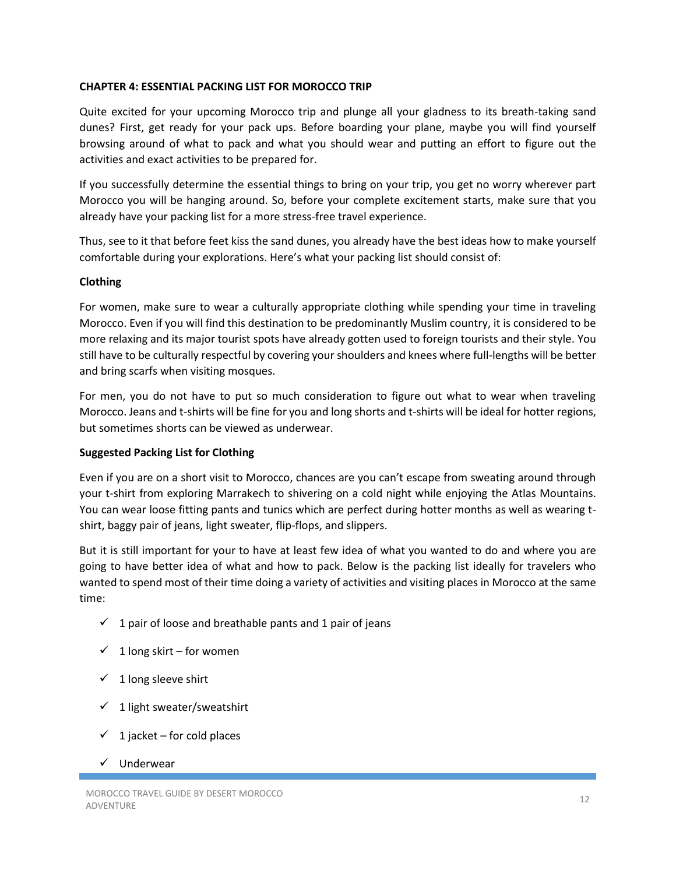#### **CHAPTER 4: ESSENTIAL PACKING LIST FOR MOROCCO TRIP**

Quite excited for your upcoming Morocco trip and plunge all your gladness to its breath-taking sand dunes? First, get ready for your pack ups. Before boarding your plane, maybe you will find yourself browsing around of what to pack and what you should wear and putting an effort to figure out the activities and exact activities to be prepared for.

If you successfully determine the essential things to bring on your trip, you get no worry wherever part Morocco you will be hanging around. So, before your complete excitement starts, make sure that you already have your packing list for a more stress-free travel experience.

Thus, see to it that before feet kiss the sand dunes, you already have the best ideas how to make yourself comfortable during your explorations. Here's what your packing list should consist of:

#### **Clothing**

For women, make sure to wear a culturally appropriate clothing while spending your time in traveling Morocco. Even if you will find this destination to be predominantly Muslim country, it is considered to be more relaxing and its major tourist spots have already gotten used to foreign tourists and their style. You still have to be culturally respectful by covering your shoulders and knees where full-lengths will be better and bring scarfs when visiting mosques.

For men, you do not have to put so much consideration to figure out what to wear when traveling Morocco. Jeans and t-shirts will be fine for you and long shorts and t-shirts will be ideal for hotter regions, but sometimes shorts can be viewed as underwear.

# **Suggested Packing List for Clothing**

Even if you are on a short visit to Morocco, chances are you can't escape from sweating around through your t-shirt from exploring Marrakech to shivering on a cold night while enjoying the Atlas Mountains. You can wear loose fitting pants and tunics which are perfect during hotter months as well as wearing tshirt, baggy pair of jeans, light sweater, flip-flops, and slippers.

But it is still important for your to have at least few idea of what you wanted to do and where you are going to have better idea of what and how to pack. Below is the packing list ideally for travelers who wanted to spend most of their time doing a variety of activities and visiting places in Morocco at the same time:

- $\checkmark$  1 pair of loose and breathable pants and 1 pair of jeans
- $\checkmark$  1 long skirt for women
- $\checkmark$  1 long sleeve shirt
- $\checkmark$  1 light sweater/sweatshirt
- $\checkmark$  1 jacket for cold places
- $\checkmark$  Underwear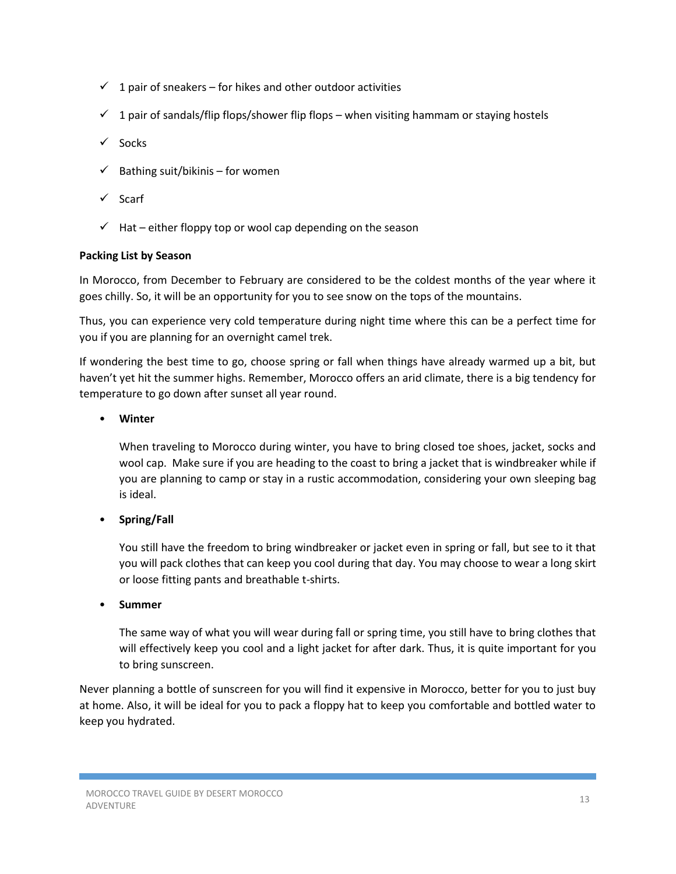- $\checkmark$  1 pair of sneakers for hikes and other outdoor activities
- $\checkmark$  1 pair of sandals/flip flops/shower flip flops when visiting hammam or staying hostels
- $\checkmark$  Socks
- $\checkmark$  Bathing suit/bikinis for women
- $\checkmark$  Scarf
- $\checkmark$  Hat either floppy top or wool cap depending on the season

# **Packing List by Season**

In Morocco, from December to February are considered to be the coldest months of the year where it goes chilly. So, it will be an opportunity for you to see snow on the tops of the mountains.

Thus, you can experience very cold temperature during night time where this can be a perfect time for you if you are planning for an overnight camel trek.

If wondering the best time to go, choose spring or fall when things have already warmed up a bit, but haven't yet hit the summer highs. Remember, Morocco offers an arid climate, there is a big tendency for temperature to go down after sunset all year round.

# • **Winter**

When traveling to Morocco during winter, you have to bring closed toe shoes, jacket, socks and wool cap. Make sure if you are heading to the coast to bring a jacket that is windbreaker while if you are planning to camp or stay in a rustic accommodation, considering your own sleeping bag is ideal.

• **Spring/Fall** 

You still have the freedom to bring windbreaker or jacket even in spring or fall, but see to it that you will pack clothes that can keep you cool during that day. You may choose to wear a long skirt or loose fitting pants and breathable t-shirts.

• **Summer** 

The same way of what you will wear during fall or spring time, you still have to bring clothes that will effectively keep you cool and a light jacket for after dark. Thus, it is quite important for you to bring sunscreen.

Never planning a bottle of sunscreen for you will find it expensive in Morocco, better for you to just buy at home. Also, it will be ideal for you to pack a floppy hat to keep you comfortable and bottled water to keep you hydrated.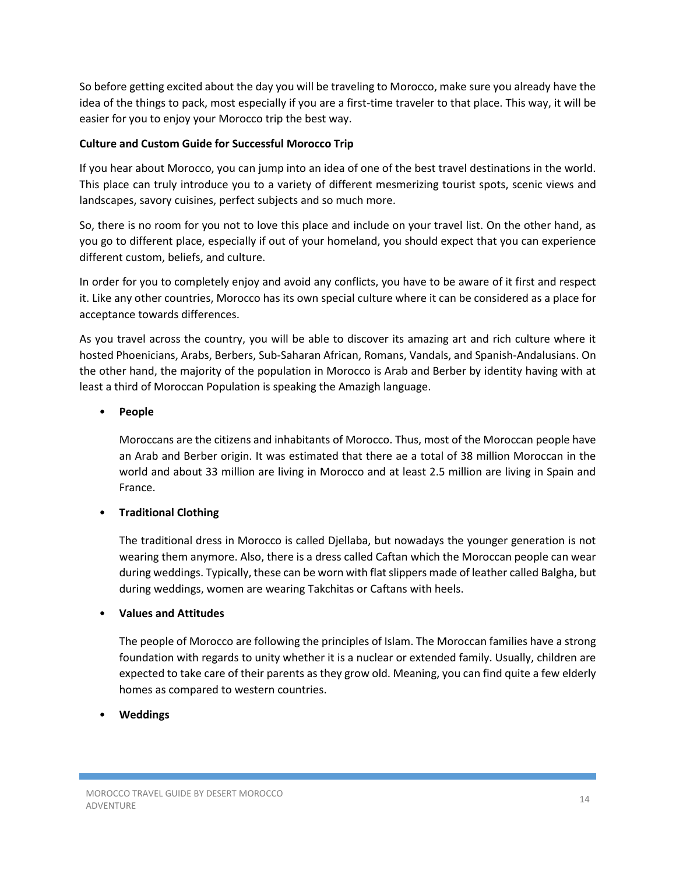So before getting excited about the day you will be traveling to Morocco, make sure you already have the idea of the things to pack, most especially if you are a first-time traveler to that place. This way, it will be easier for you to enjoy your Morocco trip the best way.

# **Culture and Custom Guide for Successful Morocco Trip**

If you hear about Morocco, you can jump into an idea of one of the best travel destinations in the world. This place can truly introduce you to a variety of different mesmerizing tourist spots, scenic views and landscapes, savory cuisines, perfect subjects and so much more.

So, there is no room for you not to love this place and include on your travel list. On the other hand, as you go to different place, especially if out of your homeland, you should expect that you can experience different custom, beliefs, and culture.

In order for you to completely enjoy and avoid any conflicts, you have to be aware of it first and respect it. Like any other countries, Morocco has its own special culture where it can be considered as a place for acceptance towards differences.

As you travel across the country, you will be able to discover its amazing art and rich culture where it hosted Phoenicians, Arabs, Berbers, Sub-Saharan African, Romans, Vandals, and Spanish-Andalusians. On the other hand, the majority of the population in Morocco is Arab and Berber by identity having with at least a third of Moroccan Population is speaking the Amazigh language.

# • **People**

Moroccans are the citizens and inhabitants of Morocco. Thus, most of the Moroccan people have an Arab and Berber origin. It was estimated that there ae a total of 38 million Moroccan in the world and about 33 million are living in Morocco and at least 2.5 million are living in Spain and France.

# • **Traditional Clothing**

The traditional dress in Morocco is called Djellaba, but nowadays the younger generation is not wearing them anymore. Also, there is a dress called Caftan which the Moroccan people can wear during weddings. Typically, these can be worn with flat slippers made of leather called Balgha, but during weddings, women are wearing Takchitas or Caftans with heels.

# • **Values and Attitudes**

The people of Morocco are following the principles of Islam. The Moroccan families have a strong foundation with regards to unity whether it is a nuclear or extended family. Usually, children are expected to take care of their parents as they grow old. Meaning, you can find quite a few elderly homes as compared to western countries.

# • **Weddings**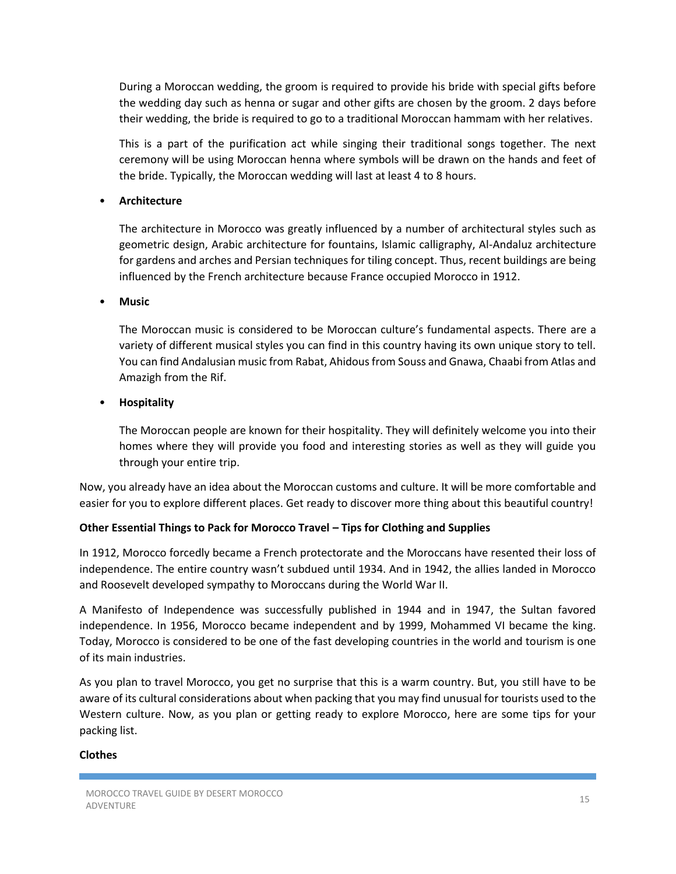During a Moroccan wedding, the groom is required to provide his bride with special gifts before the wedding day such as henna or sugar and other gifts are chosen by the groom. 2 days before their wedding, the bride is required to go to a traditional Moroccan hammam with her relatives.

This is a part of the purification act while singing their traditional songs together. The next ceremony will be using Moroccan henna where symbols will be drawn on the hands and feet of the bride. Typically, the Moroccan wedding will last at least 4 to 8 hours.

#### • **Architecture**

The architecture in Morocco was greatly influenced by a number of architectural styles such as geometric design, Arabic architecture for fountains, Islamic calligraphy, Al-Andaluz architecture for gardens and arches and Persian techniques for tiling concept. Thus, recent buildings are being influenced by the French architecture because France occupied Morocco in 1912.

#### • **Music**

The Moroccan music is considered to be Moroccan culture's fundamental aspects. There are a variety of different musical styles you can find in this country having its own unique story to tell. You can find Andalusian music from Rabat, Ahidous from Souss and Gnawa, Chaabi from Atlas and Amazigh from the Rif.

#### • **Hospitality**

The Moroccan people are known for their hospitality. They will definitely welcome you into their homes where they will provide you food and interesting stories as well as they will guide you through your entire trip.

Now, you already have an idea about the Moroccan customs and culture. It will be more comfortable and easier for you to explore different places. Get ready to discover more thing about this beautiful country!

# **Other Essential Things to Pack for Morocco Travel – Tips for Clothing and Supplies**

In 1912, Morocco forcedly became a French protectorate and the Moroccans have resented their loss of independence. The entire country wasn't subdued until 1934. And in 1942, the allies landed in Morocco and Roosevelt developed sympathy to Moroccans during the World War II.

A Manifesto of Independence was successfully published in 1944 and in 1947, the Sultan favored independence. In 1956, Morocco became independent and by 1999, Mohammed VI became the king. Today, Morocco is considered to be one of the fast developing countries in the world and tourism is one of its main industries.

As you plan to travel Morocco, you get no surprise that this is a warm country. But, you still have to be aware of its cultural considerations about when packing that you may find unusual for tourists used to the Western culture. Now, as you plan or getting ready to explore Morocco, here are some tips for your packing list.

#### **Clothes**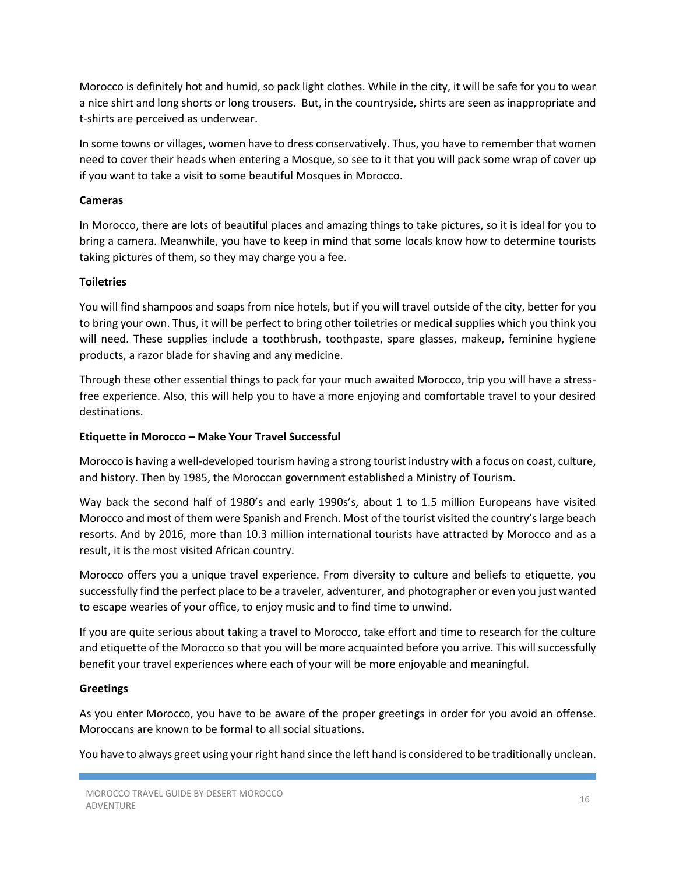Morocco is definitely hot and humid, so pack light clothes. While in the city, it will be safe for you to wear a nice shirt and long shorts or long trousers. But, in the countryside, shirts are seen as inappropriate and t-shirts are perceived as underwear.

In some towns or villages, women have to dress conservatively. Thus, you have to remember that women need to cover their heads when entering a Mosque, so see to it that you will pack some wrap of cover up if you want to take a visit to some beautiful Mosques in Morocco.

#### **Cameras**

In Morocco, there are lots of beautiful places and amazing things to take pictures, so it is ideal for you to bring a camera. Meanwhile, you have to keep in mind that some locals know how to determine tourists taking pictures of them, so they may charge you a fee.

# **Toiletries**

You will find shampoos and soaps from nice hotels, but if you will travel outside of the city, better for you to bring your own. Thus, it will be perfect to bring other toiletries or medical supplies which you think you will need. These supplies include a toothbrush, toothpaste, spare glasses, makeup, feminine hygiene products, a razor blade for shaving and any medicine.

Through these other essential things to pack for your much awaited Morocco, trip you will have a stressfree experience. Also, this will help you to have a more enjoying and comfortable travel to your desired destinations.

#### **Etiquette in Morocco – Make Your Travel Successful**

Morocco is having a well-developed tourism having a strong tourist industry with a focus on coast, culture, and history. Then by 1985, the Moroccan government established a Ministry of Tourism.

Way back the second half of 1980's and early 1990s's, about 1 to 1.5 million Europeans have visited Morocco and most of them were Spanish and French. Most of the tourist visited the country's large beach resorts. And by 2016, more than 10.3 million international tourists have attracted by Morocco and as a result, it is the most visited African country.

Morocco offers you a unique travel experience. From diversity to culture and beliefs to etiquette, you successfully find the perfect place to be a traveler, adventurer, and photographer or even you just wanted to escape wearies of your office, to enjoy music and to find time to unwind.

If you are quite serious about taking a travel to Morocco, take effort and time to research for the culture and etiquette of the Morocco so that you will be more acquainted before you arrive. This will successfully benefit your travel experiences where each of your will be more enjoyable and meaningful.

#### **Greetings**

As you enter Morocco, you have to be aware of the proper greetings in order for you avoid an offense. Moroccans are known to be formal to all social situations.

You have to always greet using your right hand since the left hand is considered to be traditionally unclean.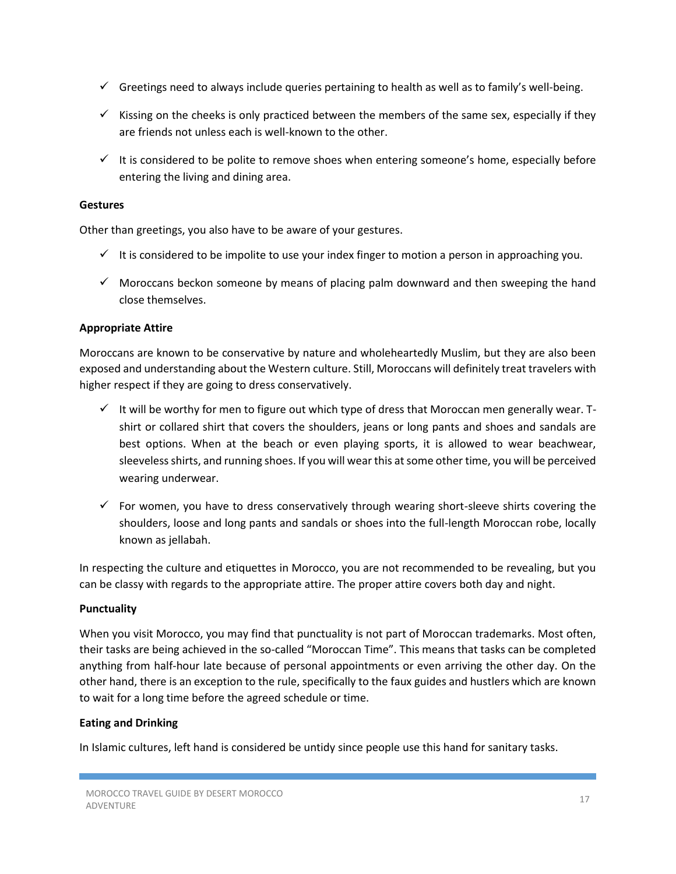- $\checkmark$  Greetings need to always include queries pertaining to health as well as to family's well-being.
- $\checkmark$  Kissing on the cheeks is only practiced between the members of the same sex, especially if they are friends not unless each is well-known to the other.
- $\checkmark$  It is considered to be polite to remove shoes when entering someone's home, especially before entering the living and dining area.

#### **Gestures**

Other than greetings, you also have to be aware of your gestures.

- $\checkmark$  It is considered to be impolite to use your index finger to motion a person in approaching you.
- $\checkmark$  Moroccans beckon someone by means of placing palm downward and then sweeping the hand close themselves.

#### **Appropriate Attire**

Moroccans are known to be conservative by nature and wholeheartedly Muslim, but they are also been exposed and understanding about the Western culture. Still, Moroccans will definitely treat travelers with higher respect if they are going to dress conservatively.

- $\checkmark$  It will be worthy for men to figure out which type of dress that Moroccan men generally wear. Tshirt or collared shirt that covers the shoulders, jeans or long pants and shoes and sandals are best options. When at the beach or even playing sports, it is allowed to wear beachwear, sleeveless shirts, and running shoes. If you will wear this at some other time, you will be perceived wearing underwear.
- $\checkmark$  For women, you have to dress conservatively through wearing short-sleeve shirts covering the shoulders, loose and long pants and sandals or shoes into the full-length Moroccan robe, locally known as jellabah.

In respecting the culture and etiquettes in Morocco, you are not recommended to be revealing, but you can be classy with regards to the appropriate attire. The proper attire covers both day and night.

#### **Punctuality**

When you visit Morocco, you may find that punctuality is not part of Moroccan trademarks. Most often, their tasks are being achieved in the so-called "Moroccan Time". This means that tasks can be completed anything from half-hour late because of personal appointments or even arriving the other day. On the other hand, there is an exception to the rule, specifically to the faux guides and hustlers which are known to wait for a long time before the agreed schedule or time.

#### **Eating and Drinking**

In Islamic cultures, left hand is considered be untidy since people use this hand for sanitary tasks.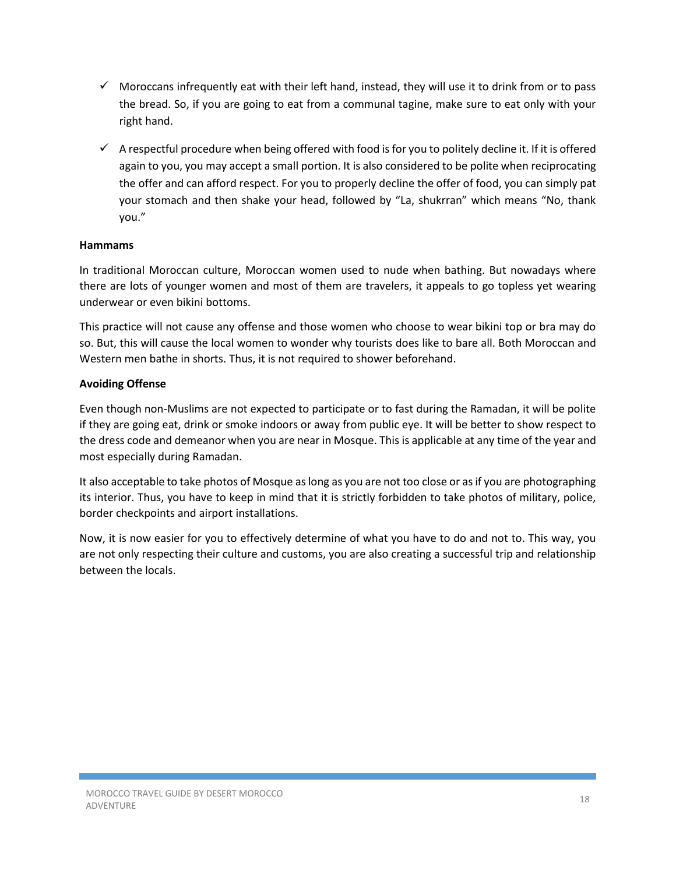- $\checkmark$  Moroccans infrequently eat with their left hand, instead, they will use it to drink from or to pass the bread. So, if you are going to eat from a communal tagine, make sure to eat only with your right hand.
- $\checkmark$  A respectful procedure when being offered with food is for you to politely decline it. If it is offered again to you, you may accept a small portion. It is also considered to be polite when reciprocating the offer and can afford respect. For you to properly decline the offer of food, you can simply pat your stomach and then shake your head, followed by "La, shukrran" which means "No, thank you."

# **Hammams**

In traditional Moroccan culture, Moroccan women used to nude when bathing. But nowadays where there are lots of younger women and most of them are travelers, it appeals to go topless yet wearing underwear or even bikini bottoms.

This practice will not cause any offense and those women who choose to wear bikini top or bra may do so. But, this will cause the local women to wonder why tourists does like to bare all. Both Moroccan and Western men bathe in shorts. Thus, it is not required to shower beforehand.

#### **Avoiding Offense**

Even though non-Muslims are not expected to participate or to fast during the Ramadan, it will be polite if they are going eat, drink or smoke indoors or away from public eye. It will be better to show respect to the dress code and demeanor when you are near in Mosque. This is applicable at any time of the year and most especially during Ramadan.

It also acceptable to take photos of Mosque as long as you are not too close or as if you are photographing its interior. Thus, you have to keep in mind that it is strictly forbidden to take photos of military, police, border checkpoints and airport installations.

Now, it is now easier for you to effectively determine of what you have to do and not to. This way, you are not only respecting their culture and customs, you are also creating a successful trip and relationship between the locals.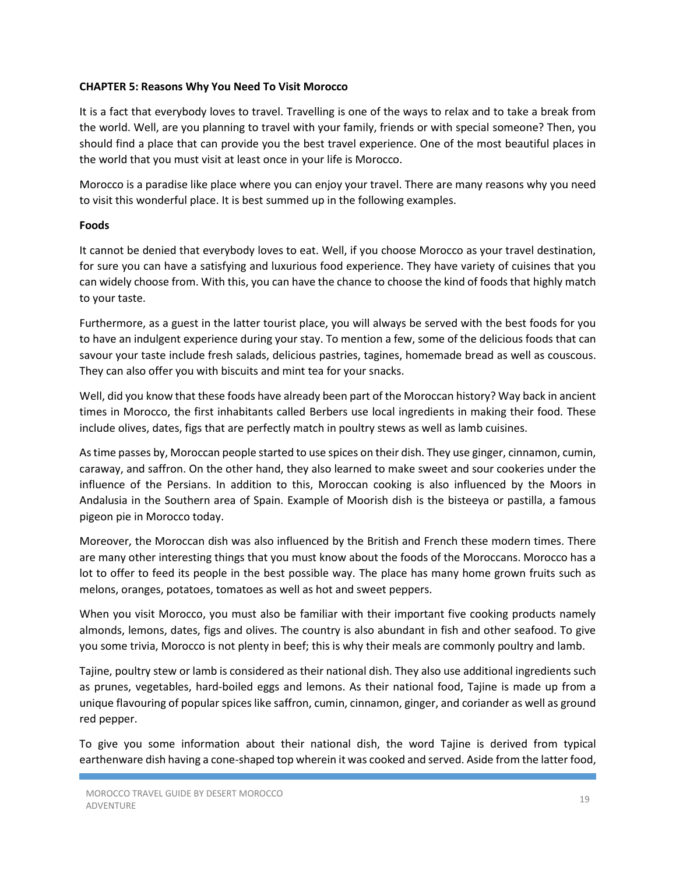#### **CHAPTER 5: Reasons Why You Need To Visit Morocco**

It is a fact that everybody loves to travel. Travelling is one of the ways to relax and to take a break from the world. Well, are you planning to travel with your family, friends or with special someone? Then, you should find a place that can provide you the best travel experience. One of the most beautiful places in the world that you must visit at least once in your life is Morocco.

Morocco is a paradise like place where you can enjoy your travel. There are many reasons why you need to visit this wonderful place. It is best summed up in the following examples.

#### **Foods**

It cannot be denied that everybody loves to eat. Well, if you choose Morocco as your travel destination, for sure you can have a satisfying and luxurious food experience. They have variety of cuisines that you can widely choose from. With this, you can have the chance to choose the kind of foods that highly match to your taste.

Furthermore, as a guest in the latter tourist place, you will always be served with the best foods for you to have an indulgent experience during your stay. To mention a few, some of the delicious foods that can savour your taste include fresh salads, delicious pastries, tagines, homemade bread as well as couscous. They can also offer you with biscuits and mint tea for your snacks.

Well, did you know that these foods have already been part of the Moroccan history? Way back in ancient times in Morocco, the first inhabitants called Berbers use local ingredients in making their food. These include olives, dates, figs that are perfectly match in poultry stews as well as lamb cuisines.

As time passes by, Moroccan people started to use spices on their dish. They use ginger, cinnamon, cumin, caraway, and saffron. On the other hand, they also learned to make sweet and sour cookeries under the influence of the Persians. In addition to this, Moroccan cooking is also influenced by the Moors in Andalusia in the Southern area of Spain. Example of Moorish dish is the bisteeya or pastilla, a famous pigeon pie in Morocco today.

Moreover, the Moroccan dish was also influenced by the British and French these modern times. There are many other interesting things that you must know about the foods of the Moroccans. Morocco has a lot to offer to feed its people in the best possible way. The place has many home grown fruits such as melons, oranges, potatoes, tomatoes as well as hot and sweet peppers.

When you visit Morocco, you must also be familiar with their important five cooking products namely almonds, lemons, dates, figs and olives. The country is also abundant in fish and other seafood. To give you some trivia, Morocco is not plenty in beef; this is why their meals are commonly poultry and lamb.

Tajine, poultry stew or lamb is considered as their national dish. They also use additional ingredients such as prunes, vegetables, hard-boiled eggs and lemons. As their national food, Tajine is made up from a unique flavouring of popular spices like saffron, cumin, cinnamon, ginger, and coriander as well as ground red pepper.

To give you some information about their national dish, the word Tajine is derived from typical earthenware dish having a cone-shaped top wherein it was cooked and served. Aside from the latter food,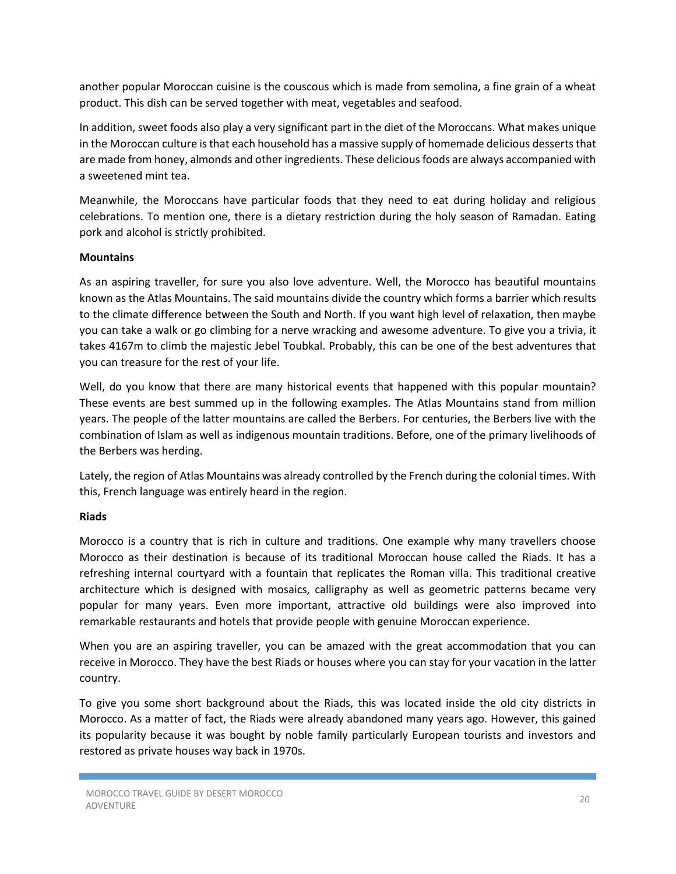another popular Moroccan cuisine is the couscous which is made from semolina, a fine grain of a wheat product. This dish can be served together with meat, vegetables and seafood.

In addition, sweet foods also play a very significant part in the diet of the Moroccans. What makes unique in the Moroccan culture is that each household has a massive supply of homemade delicious desserts that are made from honey, almonds and other ingredients. These delicious foods are always accompanied with a sweetened mint tea.

Meanwhile, the Moroccans have particular foods that they need to eat during holiday and religious celebrations. To mention one, there is a dietary restriction during the holy season of Ramadan. Eating pork and alcohol is strictly prohibited.

#### **Mountains**

As an aspiring traveller, for sure you also love adventure. Well, the Morocco has beautiful mountains known as the Atlas Mountains. The said mountains divide the country which forms a barrier which results to the climate difference between the South and North. If you want high level of relaxation, then maybe you can take a walk or go climbing for a nerve wracking and awesome adventure. To give you a trivia, it takes 4167m to climb the majestic Jebel Toubkal. Probably, this can be one of the best adventures that you can treasure for the rest of your life.

Well, do you know that there are many historical events that happened with this popular mountain? These events are best summed up in the following examples. The Atlas Mountains stand from million years. The people of the latter mountains are called the Berbers. For centuries, the Berbers live with the combination of Islam as well as indigenous mountain traditions. Before, one of the primary livelihoods of the Berbers was herding.

Lately, the region of Atlas Mountains was already controlled by the French during the colonial times. With this, French language was entirely heard in the region.

# **Riads**

Morocco is a country that is rich in culture and traditions. One example why many travellers choose Morocco as their destination is because of its traditional Moroccan house called the Riads. It has a refreshing internal courtyard with a fountain that replicates the Roman villa. This traditional creative architecture which is designed with mosaics, calligraphy as well as geometric patterns became very popular for many years. Even more important, attractive old buildings were also improved into remarkable restaurants and hotels that provide people with genuine Moroccan experience.

When you are an aspiring traveller, you can be amazed with the great accommodation that you can receive in Morocco. They have the best Riads or houses where you can stay for your vacation in the latter country.

To give you some short background about the Riads, this was located inside the old city districts in Morocco. As a matter of fact, the Riads were already abandoned many years ago. However, this gained its popularity because it was bought by noble family particularly European tourists and investors and restored as private houses way back in 1970s.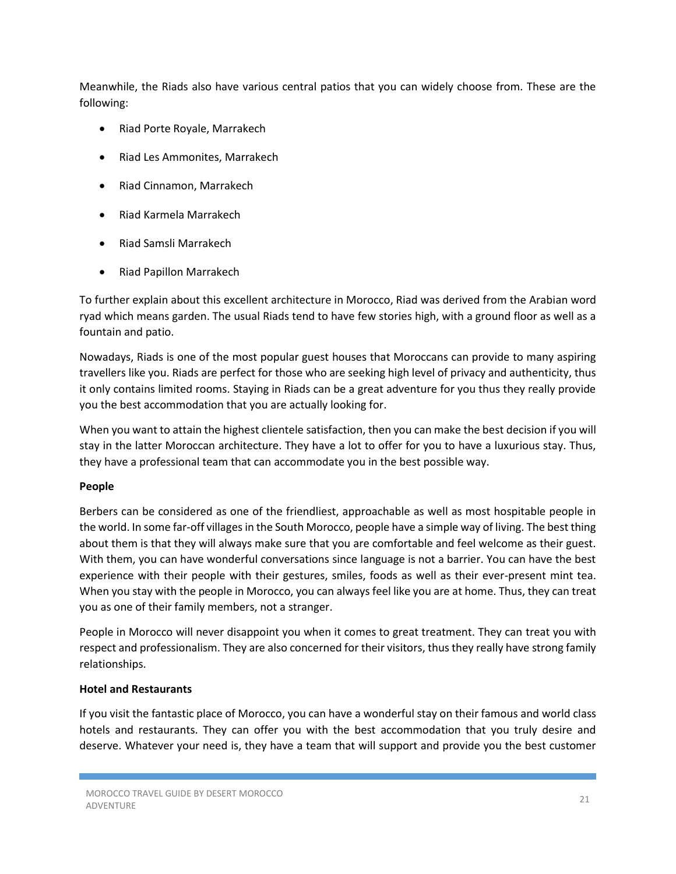Meanwhile, the Riads also have various central patios that you can widely choose from. These are the following:

- Riad Porte Royale, Marrakech
- Riad Les Ammonites, Marrakech
- Riad Cinnamon, Marrakech
- Riad Karmela Marrakech
- Riad Samsli Marrakech
- Riad Papillon Marrakech

To further explain about this excellent architecture in Morocco, Riad was derived from the Arabian word ryad which means garden. The usual Riads tend to have few stories high, with a ground floor as well as a fountain and patio.

Nowadays, Riads is one of the most popular guest houses that Moroccans can provide to many aspiring travellers like you. Riads are perfect for those who are seeking high level of privacy and authenticity, thus it only contains limited rooms. Staying in Riads can be a great adventure for you thus they really provide you the best accommodation that you are actually looking for.

When you want to attain the highest clientele satisfaction, then you can make the best decision if you will stay in the latter Moroccan architecture. They have a lot to offer for you to have a luxurious stay. Thus, they have a professional team that can accommodate you in the best possible way.

# **People**

Berbers can be considered as one of the friendliest, approachable as well as most hospitable people in the world. In some far-off villages in the South Morocco, people have a simple way of living. The best thing about them is that they will always make sure that you are comfortable and feel welcome as their guest. With them, you can have wonderful conversations since language is not a barrier. You can have the best experience with their people with their gestures, smiles, foods as well as their ever-present mint tea. When you stay with the people in Morocco, you can always feel like you are at home. Thus, they can treat you as one of their family members, not a stranger.

People in Morocco will never disappoint you when it comes to great treatment. They can treat you with respect and professionalism. They are also concerned for their visitors, thus they really have strong family relationships.

# **Hotel and Restaurants**

If you visit the fantastic place of Morocco, you can have a wonderful stay on their famous and world class hotels and restaurants. They can offer you with the best accommodation that you truly desire and deserve. Whatever your need is, they have a team that will support and provide you the best customer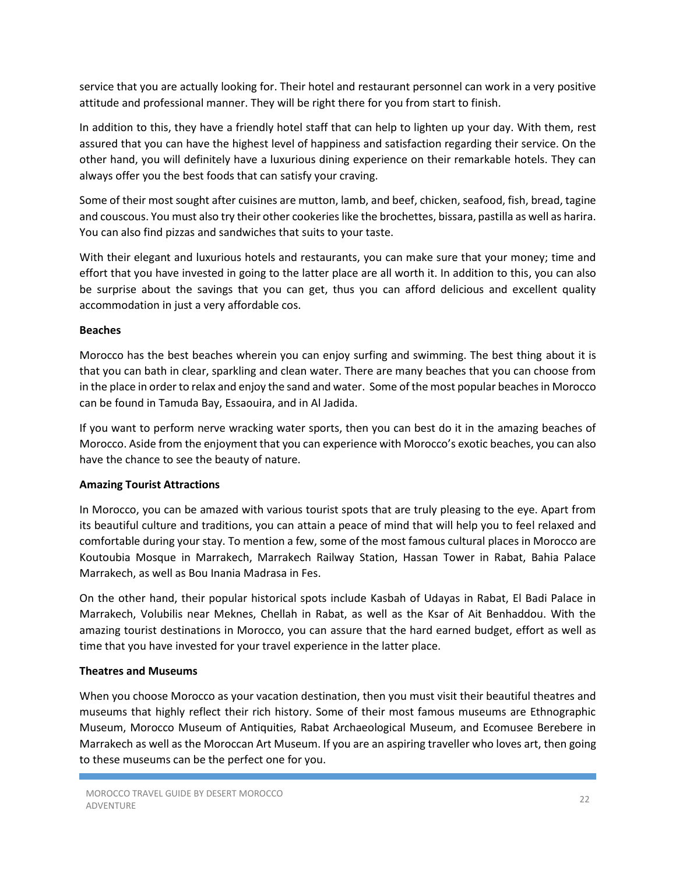service that you are actually looking for. Their hotel and restaurant personnel can work in a very positive attitude and professional manner. They will be right there for you from start to finish.

In addition to this, they have a friendly hotel staff that can help to lighten up your day. With them, rest assured that you can have the highest level of happiness and satisfaction regarding their service. On the other hand, you will definitely have a luxurious dining experience on their remarkable hotels. They can always offer you the best foods that can satisfy your craving.

Some of their most sought after cuisines are mutton, lamb, and beef, chicken, seafood, fish, bread, tagine and couscous. You must also try their other cookeries like the brochettes, bissara, pastilla as well as harira. You can also find pizzas and sandwiches that suits to your taste.

With their elegant and luxurious hotels and restaurants, you can make sure that your money; time and effort that you have invested in going to the latter place are all worth it. In addition to this, you can also be surprise about the savings that you can get, thus you can afford delicious and excellent quality accommodation in just a very affordable cos.

#### **Beaches**

Morocco has the best beaches wherein you can enjoy surfing and swimming. The best thing about it is that you can bath in clear, sparkling and clean water. There are many beaches that you can choose from in the place in order to relax and enjoy the sand and water. Some of the most popular beaches in Morocco can be found in Tamuda Bay, Essaouira, and in Al Jadida.

If you want to perform nerve wracking water sports, then you can best do it in the amazing beaches of Morocco. Aside from the enjoyment that you can experience with Morocco's exotic beaches, you can also have the chance to see the beauty of nature.

# **Amazing Tourist Attractions**

In Morocco, you can be amazed with various tourist spots that are truly pleasing to the eye. Apart from its beautiful culture and traditions, you can attain a peace of mind that will help you to feel relaxed and comfortable during your stay. To mention a few, some of the most famous cultural places in Morocco are Koutoubia Mosque in Marrakech, Marrakech Railway Station, Hassan Tower in Rabat, Bahia Palace Marrakech, as well as Bou Inania Madrasa in Fes.

On the other hand, their popular historical spots include Kasbah of Udayas in Rabat, El Badi Palace in Marrakech, Volubilis near Meknes, Chellah in Rabat, as well as the Ksar of Ait Benhaddou. With the amazing tourist destinations in Morocco, you can assure that the hard earned budget, effort as well as time that you have invested for your travel experience in the latter place.

# **Theatres and Museums**

When you choose Morocco as your vacation destination, then you must visit their beautiful theatres and museums that highly reflect their rich history. Some of their most famous museums are Ethnographic Museum, Morocco Museum of Antiquities, Rabat Archaeological Museum, and Ecomusee Berebere in Marrakech as well as the Moroccan Art Museum. If you are an aspiring traveller who loves art, then going to these museums can be the perfect one for you.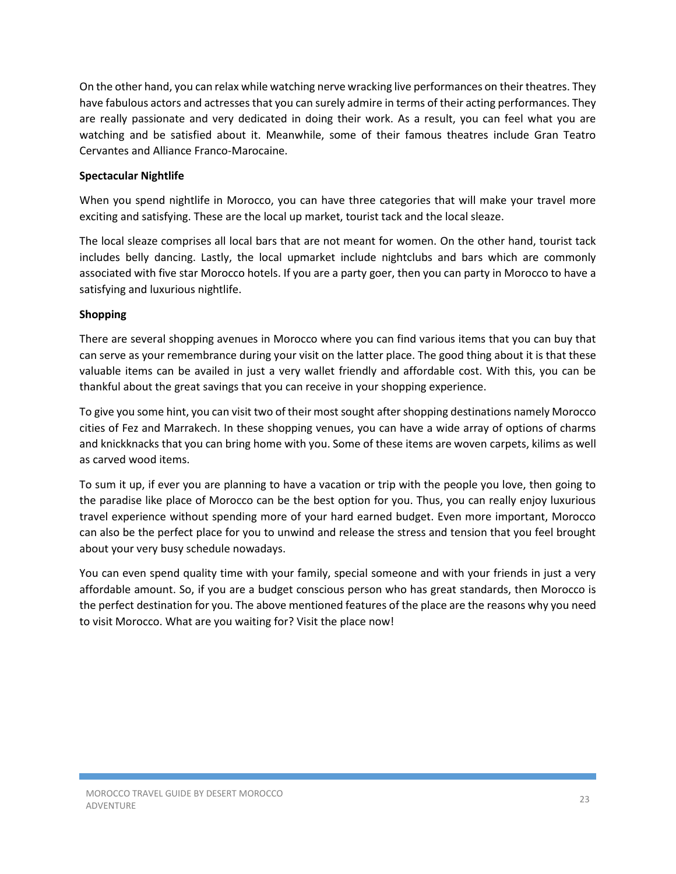On the other hand, you can relax while watching nerve wracking live performances on their theatres. They have fabulous actors and actresses that you can surely admire in terms of their acting performances. They are really passionate and very dedicated in doing their work. As a result, you can feel what you are watching and be satisfied about it. Meanwhile, some of their famous theatres include Gran Teatro Cervantes and Alliance Franco-Marocaine.

# **Spectacular Nightlife**

When you spend nightlife in Morocco, you can have three categories that will make your travel more exciting and satisfying. These are the local up market, tourist tack and the local sleaze.

The local sleaze comprises all local bars that are not meant for women. On the other hand, tourist tack includes belly dancing. Lastly, the local upmarket include nightclubs and bars which are commonly associated with five star Morocco hotels. If you are a party goer, then you can party in Morocco to have a satisfying and luxurious nightlife.

# **Shopping**

There are several shopping avenues in Morocco where you can find various items that you can buy that can serve as your remembrance during your visit on the latter place. The good thing about it is that these valuable items can be availed in just a very wallet friendly and affordable cost. With this, you can be thankful about the great savings that you can receive in your shopping experience.

To give you some hint, you can visit two of their most sought after shopping destinations namely Morocco cities of Fez and Marrakech. In these shopping venues, you can have a wide array of options of charms and knickknacks that you can bring home with you. Some of these items are woven carpets, kilims as well as carved wood items.

To sum it up, if ever you are planning to have a vacation or trip with the people you love, then going to the paradise like place of Morocco can be the best option for you. Thus, you can really enjoy luxurious travel experience without spending more of your hard earned budget. Even more important, Morocco can also be the perfect place for you to unwind and release the stress and tension that you feel brought about your very busy schedule nowadays.

You can even spend quality time with your family, special someone and with your friends in just a very affordable amount. So, if you are a budget conscious person who has great standards, then Morocco is the perfect destination for you. The above mentioned features of the place are the reasons why you need to visit Morocco. What are you waiting for? Visit the place now!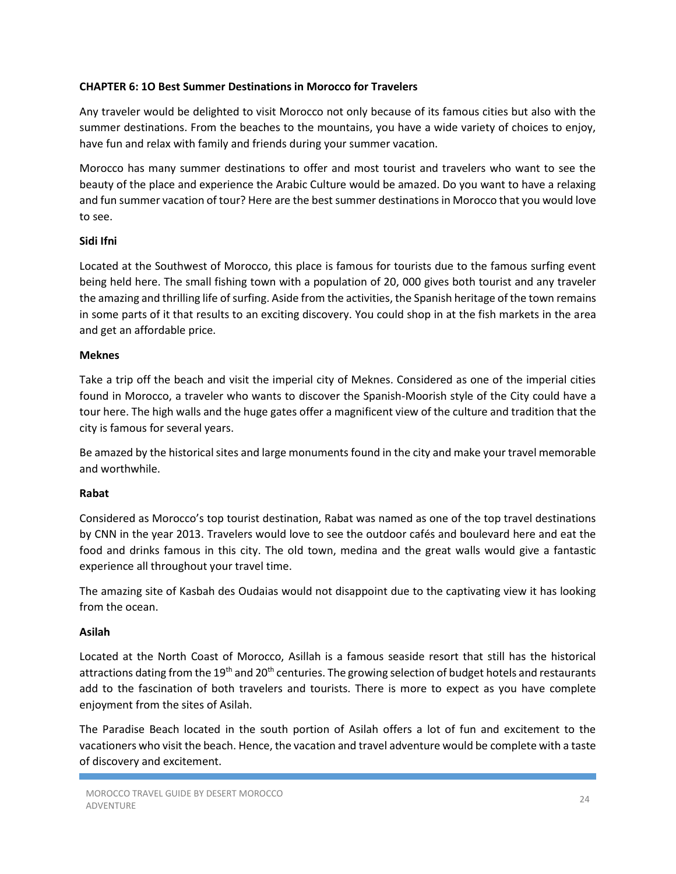#### **CHAPTER 6: 1O Best Summer Destinations in Morocco for Travelers**

Any traveler would be delighted to visit Morocco not only because of its famous cities but also with the summer destinations. From the beaches to the mountains, you have a wide variety of choices to enjoy, have fun and relax with family and friends during your summer vacation.

Morocco has many summer destinations to offer and most tourist and travelers who want to see the beauty of the place and experience the Arabic Culture would be amazed. Do you want to have a relaxing and fun summer vacation of tour? Here are the best summer destinations in Morocco that you would love to see.

# **Sidi Ifni**

Located at the Southwest of Morocco, this place is famous for tourists due to the famous surfing event being held here. The small fishing town with a population of 20, 000 gives both tourist and any traveler the amazing and thrilling life of surfing. Aside from the activities, the Spanish heritage of the town remains in some parts of it that results to an exciting discovery. You could shop in at the fish markets in the area and get an affordable price.

#### **Meknes**

Take a trip off the beach and visit the imperial city of Meknes. Considered as one of the imperial cities found in Morocco, a traveler who wants to discover the Spanish-Moorish style of the City could have a tour here. The high walls and the huge gates offer a magnificent view of the culture and tradition that the city is famous for several years.

Be amazed by the historical sites and large monuments found in the city and make your travel memorable and worthwhile.

#### **Rabat**

Considered as Morocco's top tourist destination, Rabat was named as one of the top travel destinations by CNN in the year 2013. Travelers would love to see the outdoor cafés and boulevard here and eat the food and drinks famous in this city. The old town, medina and the great walls would give a fantastic experience all throughout your travel time.

The amazing site of Kasbah des Oudaias would not disappoint due to the captivating view it has looking from the ocean.

#### **Asilah**

Located at the North Coast of Morocco, Asillah is a famous seaside resort that still has the historical attractions dating from the 19<sup>th</sup> and 20<sup>th</sup> centuries. The growing selection of budget hotels and restaurants add to the fascination of both travelers and tourists. There is more to expect as you have complete enjoyment from the sites of Asilah.

The Paradise Beach located in the south portion of Asilah offers a lot of fun and excitement to the vacationers who visit the beach. Hence, the vacation and travel adventure would be complete with a taste of discovery and excitement.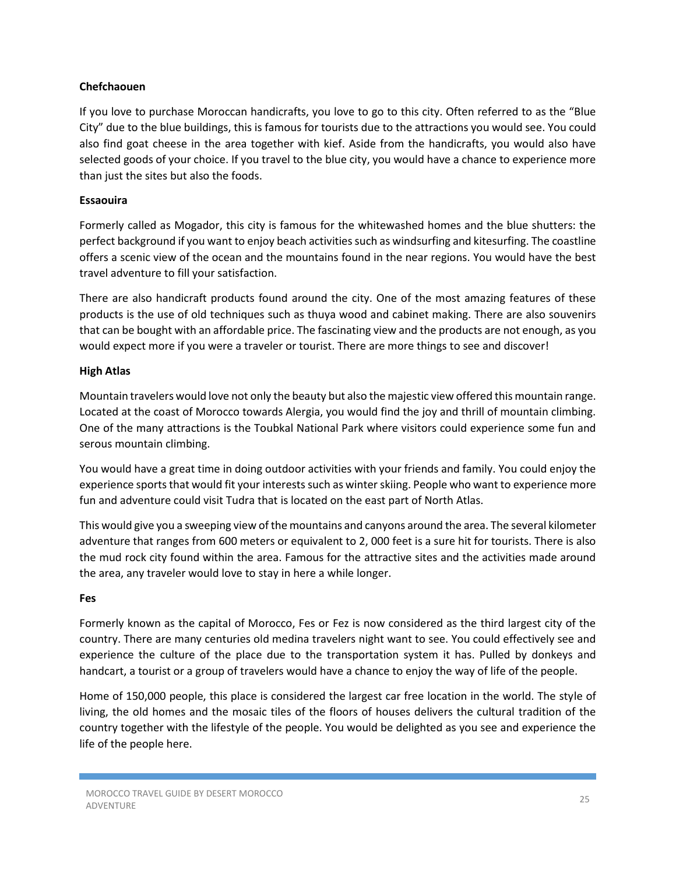#### **Chefchaouen**

If you love to purchase Moroccan handicrafts, you love to go to this city. Often referred to as the "Blue City" due to the blue buildings, this is famous for tourists due to the attractions you would see. You could also find goat cheese in the area together with kief. Aside from the handicrafts, you would also have selected goods of your choice. If you travel to the blue city, you would have a chance to experience more than just the sites but also the foods.

#### **Essaouira**

Formerly called as Mogador, this city is famous for the whitewashed homes and the blue shutters: the perfect background if you want to enjoy beach activities such as windsurfing and kitesurfing. The coastline offers a scenic view of the ocean and the mountains found in the near regions. You would have the best travel adventure to fill your satisfaction.

There are also handicraft products found around the city. One of the most amazing features of these products is the use of old techniques such as thuya wood and cabinet making. There are also souvenirs that can be bought with an affordable price. The fascinating view and the products are not enough, as you would expect more if you were a traveler or tourist. There are more things to see and discover!

#### **High Atlas**

Mountain travelers would love not only the beauty but also the majestic view offered this mountain range. Located at the coast of Morocco towards Alergia, you would find the joy and thrill of mountain climbing. One of the many attractions is the Toubkal National Park where visitors could experience some fun and serous mountain climbing.

You would have a great time in doing outdoor activities with your friends and family. You could enjoy the experience sports that would fit your interests such as winter skiing. People who want to experience more fun and adventure could visit Tudra that is located on the east part of North Atlas.

This would give you a sweeping view of the mountains and canyons around the area. The several kilometer adventure that ranges from 600 meters or equivalent to 2, 000 feet is a sure hit for tourists. There is also the mud rock city found within the area. Famous for the attractive sites and the activities made around the area, any traveler would love to stay in here a while longer.

#### **Fes**

Formerly known as the capital of Morocco, Fes or Fez is now considered as the third largest city of the country. There are many centuries old medina travelers night want to see. You could effectively see and experience the culture of the place due to the transportation system it has. Pulled by donkeys and handcart, a tourist or a group of travelers would have a chance to enjoy the way of life of the people.

Home of 150,000 people, this place is considered the largest car free location in the world. The style of living, the old homes and the mosaic tiles of the floors of houses delivers the cultural tradition of the country together with the lifestyle of the people. You would be delighted as you see and experience the life of the people here.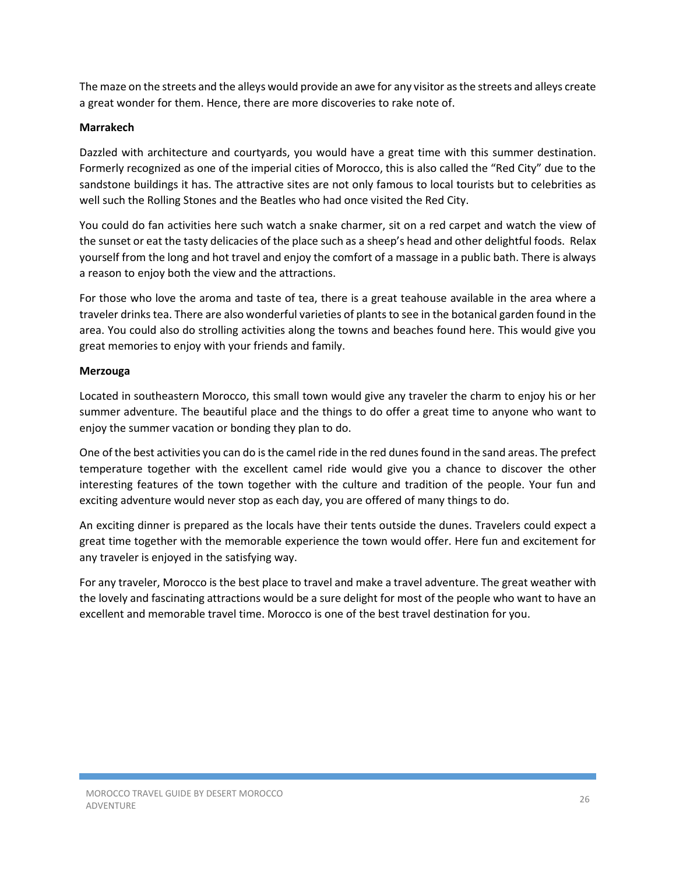The maze on the streets and the alleys would provide an awe for any visitor as the streets and alleys create a great wonder for them. Hence, there are more discoveries to rake note of.

# **Marrakech**

Dazzled with architecture and courtyards, you would have a great time with this summer destination. Formerly recognized as one of the imperial cities of Morocco, this is also called the "Red City" due to the sandstone buildings it has. The attractive sites are not only famous to local tourists but to celebrities as well such the Rolling Stones and the Beatles who had once visited the Red City.

You could do fan activities here such watch a snake charmer, sit on a red carpet and watch the view of the sunset or eat the tasty delicacies of the place such as a sheep's head and other delightful foods. Relax yourself from the long and hot travel and enjoy the comfort of a massage in a public bath. There is always a reason to enjoy both the view and the attractions.

For those who love the aroma and taste of tea, there is a great teahouse available in the area where a traveler drinks tea. There are also wonderful varieties of plants to see in the botanical garden found in the area. You could also do strolling activities along the towns and beaches found here. This would give you great memories to enjoy with your friends and family.

# **Merzouga**

Located in southeastern Morocco, this small town would give any traveler the charm to enjoy his or her summer adventure. The beautiful place and the things to do offer a great time to anyone who want to enjoy the summer vacation or bonding they plan to do.

One of the best activities you can do is the camel ride in the red dunes found in the sand areas. The prefect temperature together with the excellent camel ride would give you a chance to discover the other interesting features of the town together with the culture and tradition of the people. Your fun and exciting adventure would never stop as each day, you are offered of many things to do.

An exciting dinner is prepared as the locals have their tents outside the dunes. Travelers could expect a great time together with the memorable experience the town would offer. Here fun and excitement for any traveler is enjoyed in the satisfying way.

For any traveler, Morocco is the best place to travel and make a travel adventure. The great weather with the lovely and fascinating attractions would be a sure delight for most of the people who want to have an excellent and memorable travel time. Morocco is one of the best travel destination for you.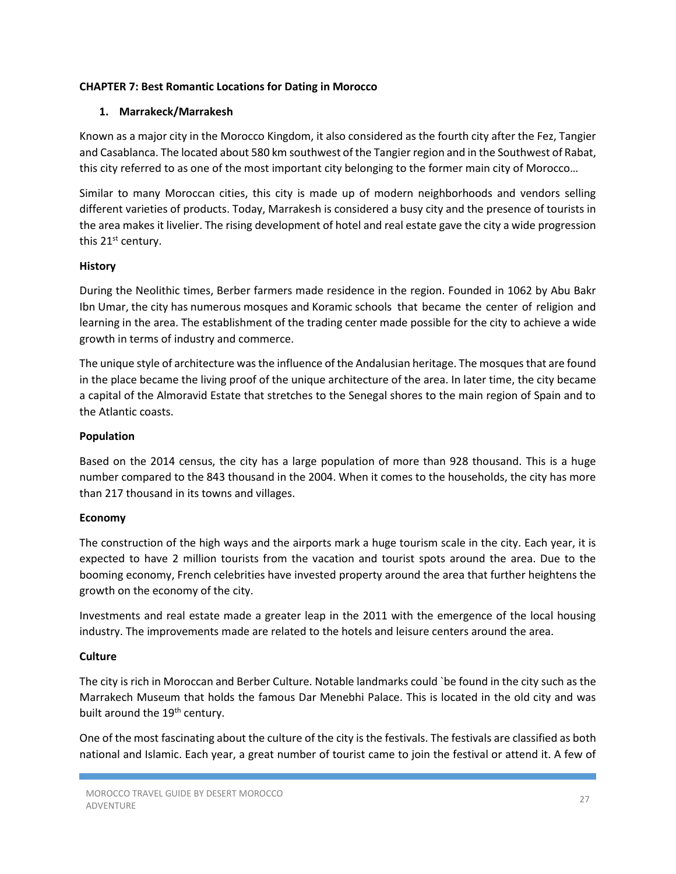#### **CHAPTER 7: Best Romantic Locations for Dating in Morocco**

#### **1. Marrakeck/Marrakesh**

Known as a major city in the Morocco Kingdom, it also considered as the fourth city after the Fez, Tangier and Casablanca. The located about 580 km southwest of the Tangier region and in the Southwest of Rabat, this city referred to as one of the most important city belonging to the former main city of Morocco…

Similar to many Moroccan cities, this city is made up of modern neighborhoods and vendors selling different varieties of products. Today, Marrakesh is considered a busy city and the presence of tourists in the area makes it livelier. The rising development of hotel and real estate gave the city a wide progression this 21<sup>st</sup> century.

#### **History**

During the Neolithic times, Berber farmers made residence in the region. Founded in 1062 by Abu Bakr Ibn Umar, the city has numerous mosques and Koramic schools that became the center of religion and learning in the area. The establishment of the trading center made possible for the city to achieve a wide growth in terms of industry and commerce.

The unique style of architecture was the influence of the Andalusian heritage. The mosques that are found in the place became the living proof of the unique architecture of the area. In later time, the city became a capital of the Almoravid Estate that stretches to the Senegal shores to the main region of Spain and to the Atlantic coasts.

#### **Population**

Based on the 2014 census, the city has a large population of more than 928 thousand. This is a huge number compared to the 843 thousand in the 2004. When it comes to the households, the city has more than 217 thousand in its towns and villages.

#### **Economy**

The construction of the high ways and the airports mark a huge tourism scale in the city. Each year, it is expected to have 2 million tourists from the vacation and tourist spots around the area. Due to the booming economy, French celebrities have invested property around the area that further heightens the growth on the economy of the city.

Investments and real estate made a greater leap in the 2011 with the emergence of the local housing industry. The improvements made are related to the hotels and leisure centers around the area.

# **Culture**

The city is rich in Moroccan and Berber Culture. Notable landmarks could `be found in the city such as the Marrakech Museum that holds the famous Dar Menebhi Palace. This is located in the old city and was built around the 19<sup>th</sup> century.

One of the most fascinating about the culture of the city is the festivals. The festivals are classified as both national and Islamic. Each year, a great number of tourist came to join the festival or attend it. A few of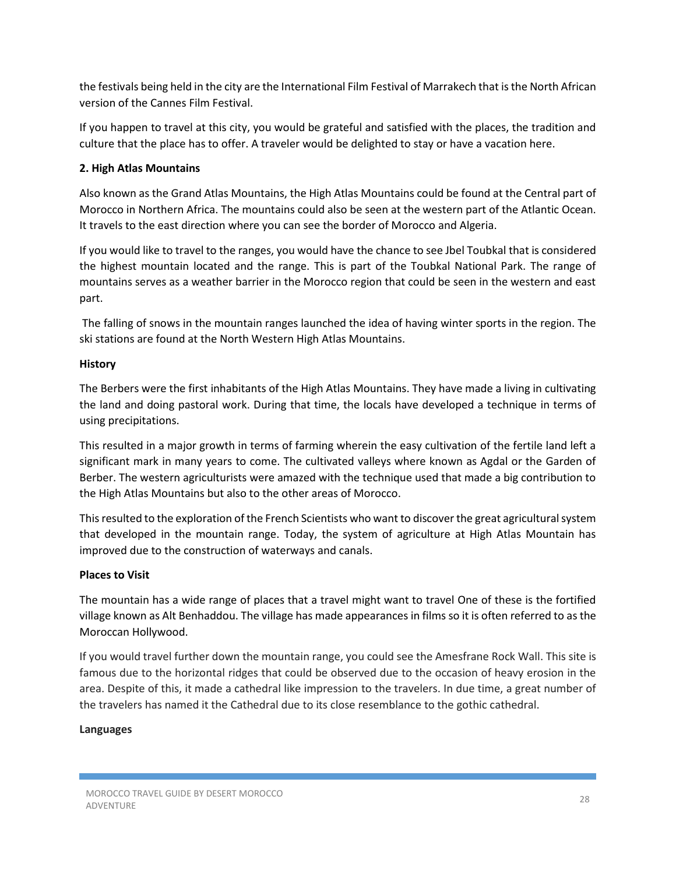the festivals being held in the city are the International Film Festival of Marrakech that is the North African version of the Cannes Film Festival.

If you happen to travel at this city, you would be grateful and satisfied with the places, the tradition and culture that the place has to offer. A traveler would be delighted to stay or have a vacation here.

# **2. High Atlas Mountains**

Also known as the Grand Atlas Mountains, the High Atlas Mountains could be found at the Central part of Morocco in Northern Africa. The mountains could also be seen at the western part of the Atlantic Ocean. It travels to the east direction where you can see the border of Morocco and Algeria.

If you would like to travel to the ranges, you would have the chance to see Jbel Toubkal that is considered the highest mountain located and the range. This is part of the Toubkal National Park. The range of mountains serves as a weather barrier in the Morocco region that could be seen in the western and east part.

 The falling of snows in the mountain ranges launched the idea of having winter sports in the region. The ski stations are found at the North Western High Atlas Mountains.

#### **History**

The Berbers were the first inhabitants of the High Atlas Mountains. They have made a living in cultivating the land and doing pastoral work. During that time, the locals have developed a technique in terms of using precipitations.

This resulted in a major growth in terms of farming wherein the easy cultivation of the fertile land left a significant mark in many years to come. The cultivated valleys where known as Agdal or the Garden of Berber. The western agriculturists were amazed with the technique used that made a big contribution to the High Atlas Mountains but also to the other areas of Morocco.

This resulted to the exploration of the French Scientists who want to discover the great agricultural system that developed in the mountain range. Today, the system of agriculture at High Atlas Mountain has improved due to the construction of waterways and canals.

#### **Places to Visit**

The mountain has a wide range of places that a travel might want to travel One of these is the fortified village known as Alt Benhaddou. The village has made appearances in films so it is often referred to as the Moroccan Hollywood.

If you would travel further down the mountain range, you could see the Amesfrane Rock Wall. This site is famous due to the horizontal ridges that could be observed due to the occasion of heavy erosion in the area. Despite of this, it made a cathedral like impression to the travelers. In due time, a great number of the travelers has named it the Cathedral due to its close resemblance to the gothic cathedral.

#### **Languages**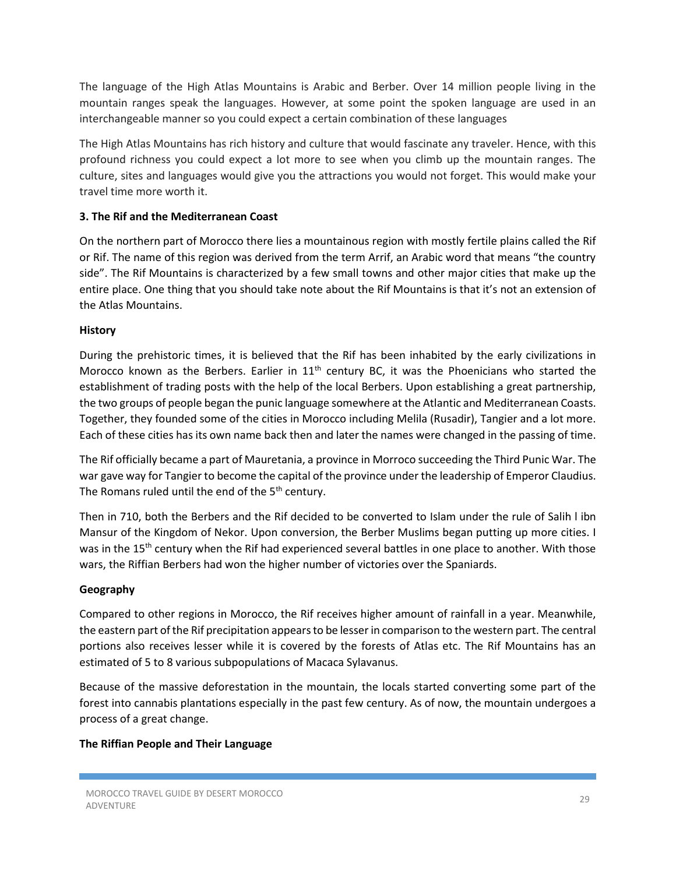The language of the High Atlas Mountains is Arabic and Berber. Over 14 million people living in the mountain ranges speak the languages. However, at some point the spoken language are used in an interchangeable manner so you could expect a certain combination of these languages

The High Atlas Mountains has rich history and culture that would fascinate any traveler. Hence, with this profound richness you could expect a lot more to see when you climb up the mountain ranges. The culture, sites and languages would give you the attractions you would not forget. This would make your travel time more worth it.

# **3. The Rif and the Mediterranean Coast**

On the northern part of Morocco there lies a mountainous region with mostly fertile plains called the Rif or Rif. The name of this region was derived from the term Arrif, an Arabic word that means "the country side". The Rif Mountains is characterized by a few small towns and other major cities that make up the entire place. One thing that you should take note about the Rif Mountains is that it's not an extension of the Atlas Mountains.

# **History**

During the prehistoric times, it is believed that the Rif has been inhabited by the early civilizations in Morocco known as the Berbers. Earlier in  $11<sup>th</sup>$  century BC, it was the Phoenicians who started the establishment of trading posts with the help of the local Berbers. Upon establishing a great partnership, the two groups of people began the punic language somewhere at the Atlantic and Mediterranean Coasts. Together, they founded some of the cities in Morocco including Melila (Rusadir), Tangier and a lot more. Each of these cities has its own name back then and later the names were changed in the passing of time.

The Rif officially became a part of Mauretania, a province in Morroco succeeding the Third Punic War. The war gave way for Tangier to become the capital of the province under the leadership of Emperor Claudius. The Romans ruled until the end of the 5<sup>th</sup> century.

Then in 710, both the Berbers and the Rif decided to be converted to Islam under the rule of Salih l ibn Mansur of the Kingdom of Nekor. Upon conversion, the Berber Muslims began putting up more cities. I was in the 15<sup>th</sup> century when the Rif had experienced several battles in one place to another. With those wars, the Riffian Berbers had won the higher number of victories over the Spaniards.

# **Geography**

Compared to other regions in Morocco, the Rif receives higher amount of rainfall in a year. Meanwhile, the eastern part of the Rif precipitation appears to be lesser in comparison to the western part. The central portions also receives lesser while it is covered by the forests of Atlas etc. The Rif Mountains has an estimated of 5 to 8 various subpopulations of Macaca Sylavanus.

Because of the massive deforestation in the mountain, the locals started converting some part of the forest into cannabis plantations especially in the past few century. As of now, the mountain undergoes a process of a great change.

# **The Riffian People and Their Language**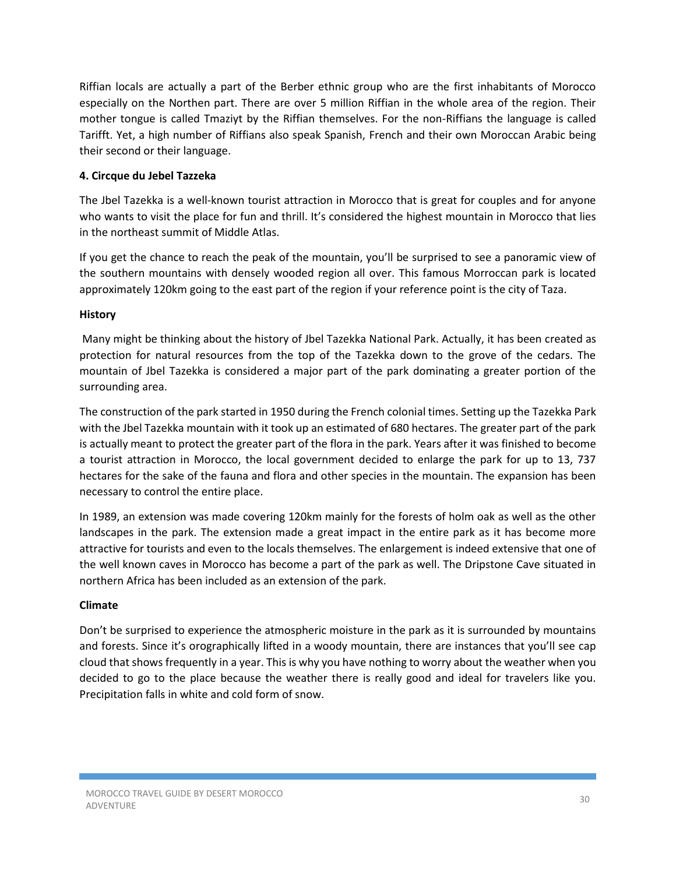Riffian locals are actually a part of the Berber ethnic group who are the first inhabitants of Morocco especially on the Northen part. There are over 5 million Riffian in the whole area of the region. Their mother tongue is called Tmaziyt by the Riffian themselves. For the non-Riffians the language is called Tarifft. Yet, a high number of Riffians also speak Spanish, French and their own Moroccan Arabic being their second or their language.

# **4. Circque du Jebel Tazzeka**

The Jbel Tazekka is a well-known tourist attraction in Morocco that is great for couples and for anyone who wants to visit the place for fun and thrill. It's considered the highest mountain in Morocco that lies in the northeast summit of Middle Atlas.

If you get the chance to reach the peak of the mountain, you'll be surprised to see a panoramic view of the southern mountains with densely wooded region all over. This famous Morroccan park is located approximately 120km going to the east part of the region if your reference point is the city of Taza.

# **History**

 Many might be thinking about the history of Jbel Tazekka National Park. Actually, it has been created as protection for natural resources from the top of the Tazekka down to the grove of the cedars. The mountain of Jbel Tazekka is considered a major part of the park dominating a greater portion of the surrounding area.

The construction of the park started in 1950 during the French colonial times. Setting up the Tazekka Park with the Jbel Tazekka mountain with it took up an estimated of 680 hectares. The greater part of the park is actually meant to protect the greater part of the flora in the park. Years after it was finished to become a tourist attraction in Morocco, the local government decided to enlarge the park for up to 13, 737 hectares for the sake of the fauna and flora and other species in the mountain. The expansion has been necessary to control the entire place.

In 1989, an extension was made covering 120km mainly for the forests of holm oak as well as the other landscapes in the park. The extension made a great impact in the entire park as it has become more attractive for tourists and even to the locals themselves. The enlargement is indeed extensive that one of the well known caves in Morocco has become a part of the park as well. The Dripstone Cave situated in northern Africa has been included as an extension of the park.

# **Climate**

Don't be surprised to experience the atmospheric moisture in the park as it is surrounded by mountains and forests. Since it's orographically lifted in a woody mountain, there are instances that you'll see cap cloud that shows frequently in a year. This is why you have nothing to worry about the weather when you decided to go to the place because the weather there is really good and ideal for travelers like you. Precipitation falls in white and cold form of snow.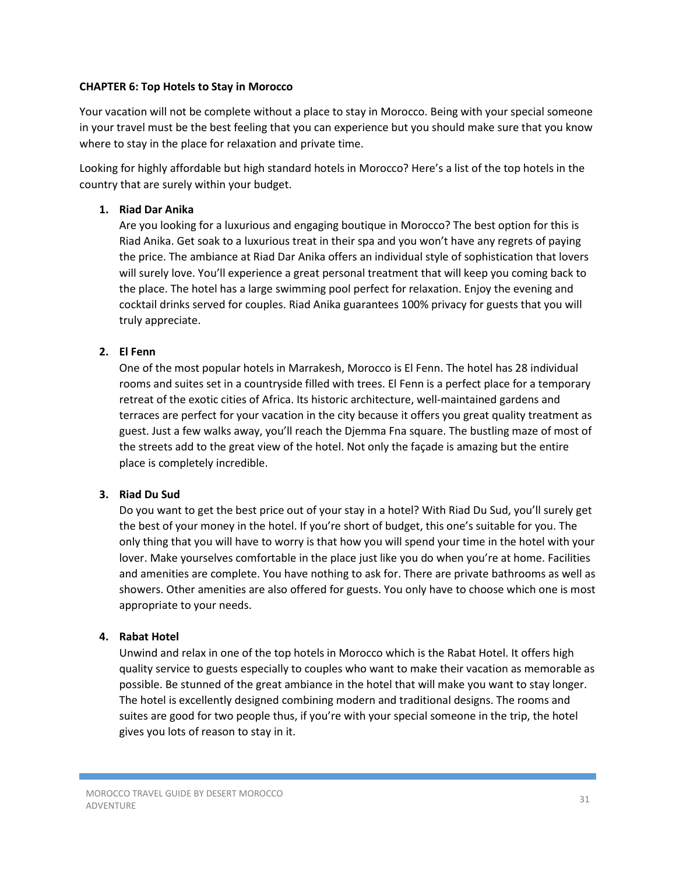#### **CHAPTER 6: Top Hotels to Stay in Morocco**

Your vacation will not be complete without a place to stay in Morocco. Being with your special someone in your travel must be the best feeling that you can experience but you should make sure that you know where to stay in the place for relaxation and private time.

Looking for highly affordable but high standard hotels in Morocco? Here's a list of the top hotels in the country that are surely within your budget.

#### **1. Riad Dar Anika**

Are you looking for a luxurious and engaging boutique in Morocco? The best option for this is Riad Anika. Get soak to a luxurious treat in their spa and you won't have any regrets of paying the price. The ambiance at Riad Dar Anika offers an individual style of sophistication that lovers will surely love. You'll experience a great personal treatment that will keep you coming back to the place. The hotel has a large swimming pool perfect for relaxation. Enjoy the evening and cocktail drinks served for couples. Riad Anika guarantees 100% privacy for guests that you will truly appreciate.

# **2. El Fenn**

One of the most popular hotels in Marrakesh, Morocco is El Fenn. The hotel has 28 individual rooms and suites set in a countryside filled with trees. El Fenn is a perfect place for a temporary retreat of the exotic cities of Africa. Its historic architecture, well-maintained gardens and terraces are perfect for your vacation in the city because it offers you great quality treatment as guest. Just a few walks away, you'll reach the Djemma Fna square. The bustling maze of most of the streets add to the great view of the hotel. Not only the façade is amazing but the entire place is completely incredible.

#### **3. Riad Du Sud**

Do you want to get the best price out of your stay in a hotel? With Riad Du Sud, you'll surely get the best of your money in the hotel. If you're short of budget, this one's suitable for you. The only thing that you will have to worry is that how you will spend your time in the hotel with your lover. Make yourselves comfortable in the place just like you do when you're at home. Facilities and amenities are complete. You have nothing to ask for. There are private bathrooms as well as showers. Other amenities are also offered for guests. You only have to choose which one is most appropriate to your needs.

#### **4. Rabat Hotel**

Unwind and relax in one of the top hotels in Morocco which is the Rabat Hotel. It offers high quality service to guests especially to couples who want to make their vacation as memorable as possible. Be stunned of the great ambiance in the hotel that will make you want to stay longer. The hotel is excellently designed combining modern and traditional designs. The rooms and suites are good for two people thus, if you're with your special someone in the trip, the hotel gives you lots of reason to stay in it.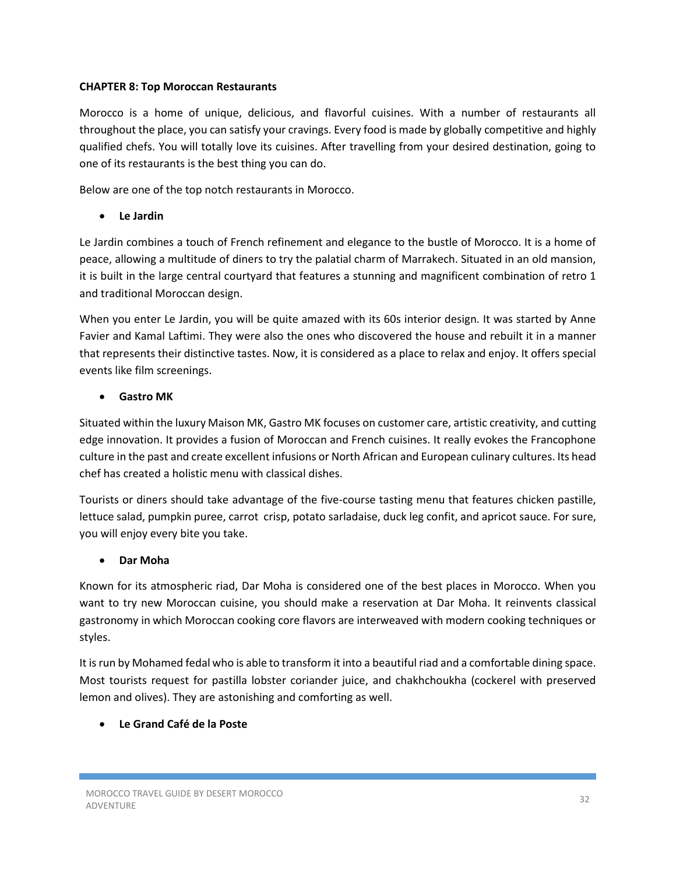#### **CHAPTER 8: Top Moroccan Restaurants**

Morocco is a home of unique, delicious, and flavorful cuisines. With a number of restaurants all throughout the place, you can satisfy your cravings. Every food is made by globally competitive and highly qualified chefs. You will totally love its cuisines. After travelling from your desired destination, going to one of its restaurants is the best thing you can do.

Below are one of the top notch restaurants in Morocco.

# **Le Jardin**

Le Jardin combines a touch of French refinement and elegance to the bustle of Morocco. It is a home of peace, allowing a multitude of diners to try the palatial charm of Marrakech. Situated in an old mansion, it is built in the large central courtyard that features a stunning and magnificent combination of retro 1 and traditional Moroccan design.

When you enter Le Jardin, you will be quite amazed with its 60s interior design. It was started by Anne Favier and Kamal Laftimi. They were also the ones who discovered the house and rebuilt it in a manner that represents their distinctive tastes. Now, it is considered as a place to relax and enjoy. It offers special events like film screenings.

# **Gastro MK**

Situated within the luxury Maison MK, Gastro MK focuses on customer care, artistic creativity, and cutting edge innovation. It provides a fusion of Moroccan and French cuisines. It really evokes the Francophone culture in the past and create excellent infusions or North African and European culinary cultures. Its head chef has created a holistic menu with classical dishes.

Tourists or diners should take advantage of the five-course tasting menu that features chicken pastille, lettuce salad, pumpkin puree, carrot crisp, potato sarladaise, duck leg confit, and apricot sauce. For sure, you will enjoy every bite you take.

# **Dar Moha**

Known for its atmospheric riad, Dar Moha is considered one of the best places in Morocco. When you want to try new Moroccan cuisine, you should make a reservation at Dar Moha. It reinvents classical gastronomy in which Moroccan cooking core flavors are interweaved with modern cooking techniques or styles.

It is run by Mohamed fedal who is able to transform it into a beautiful riad and a comfortable dining space. Most tourists request for pastilla lobster coriander juice, and chakhchoukha (cockerel with preserved lemon and olives). They are astonishing and comforting as well.

# **Le Grand Café de la Poste**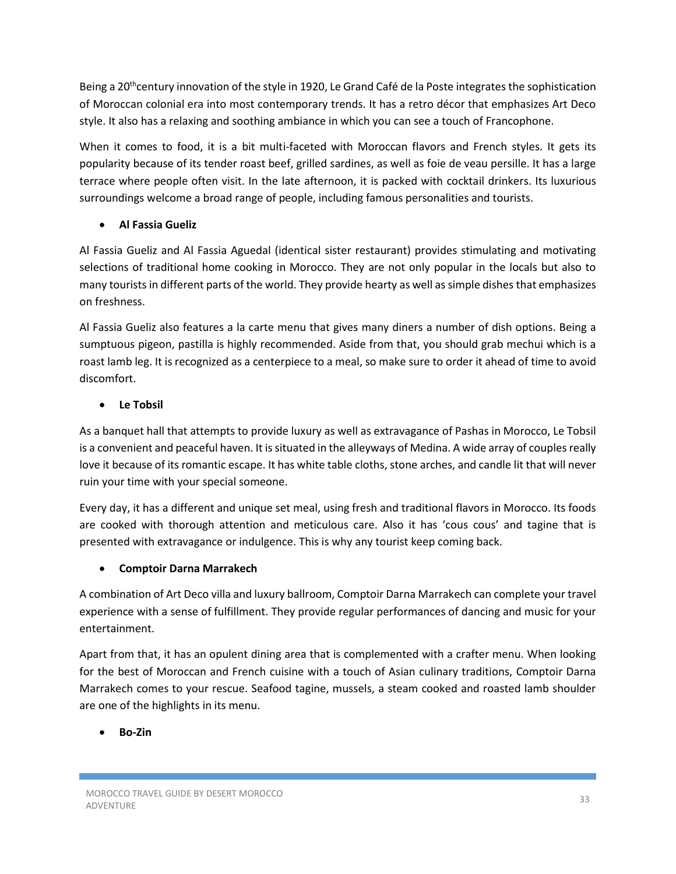Being a 20<sup>th</sup>century innovation of the style in 1920, Le Grand Café de la Poste integrates the sophistication of Moroccan colonial era into most contemporary trends. It has a retro décor that emphasizes Art Deco style. It also has a relaxing and soothing ambiance in which you can see a touch of Francophone.

When it comes to food, it is a bit multi-faceted with Moroccan flavors and French styles. It gets its popularity because of its tender roast beef, grilled sardines, as well as foie de veau persille. It has a large terrace where people often visit. In the late afternoon, it is packed with cocktail drinkers. Its luxurious surroundings welcome a broad range of people, including famous personalities and tourists.

# **Al Fassia Gueliz**

Al Fassia Gueliz and Al Fassia Aguedal (identical sister restaurant) provides stimulating and motivating selections of traditional home cooking in Morocco. They are not only popular in the locals but also to many tourists in different parts of the world. They provide hearty as well as simple dishes that emphasizes on freshness.

Al Fassia Gueliz also features a la carte menu that gives many diners a number of dish options. Being a sumptuous pigeon, pastilla is highly recommended. Aside from that, you should grab mechui which is a roast lamb leg. It is recognized as a centerpiece to a meal, so make sure to order it ahead of time to avoid discomfort.

# **Le Tobsil**

As a banquet hall that attempts to provide luxury as well as extravagance of Pashas in Morocco, Le Tobsil is a convenient and peaceful haven. It is situated in the alleyways of Medina. A wide array of couples really love it because of its romantic escape. It has white table cloths, stone arches, and candle lit that will never ruin your time with your special someone.

Every day, it has a different and unique set meal, using fresh and traditional flavors in Morocco. Its foods are cooked with thorough attention and meticulous care. Also it has 'cous cous' and tagine that is presented with extravagance or indulgence. This is why any tourist keep coming back.

# **Comptoir Darna Marrakech**

A combination of Art Deco villa and luxury ballroom, Comptoir Darna Marrakech can complete your travel experience with a sense of fulfillment. They provide regular performances of dancing and music for your entertainment.

Apart from that, it has an opulent dining area that is complemented with a crafter menu. When looking for the best of Moroccan and French cuisine with a touch of Asian culinary traditions, Comptoir Darna Marrakech comes to your rescue. Seafood tagine, mussels, a steam cooked and roasted lamb shoulder are one of the highlights in its menu.

# **Bo-Zin**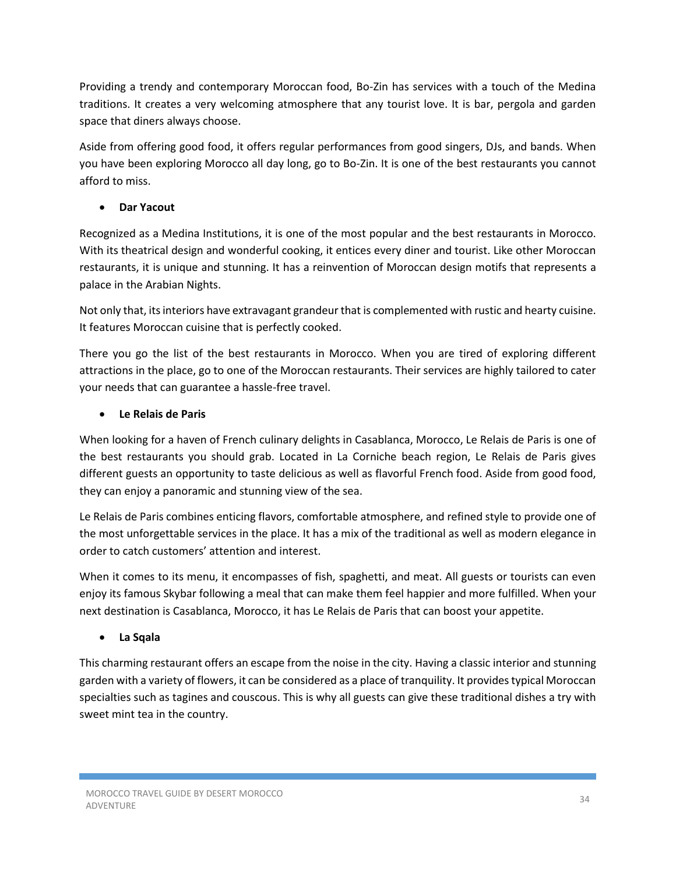Providing a trendy and contemporary Moroccan food, Bo-Zin has services with a touch of the Medina traditions. It creates a very welcoming atmosphere that any tourist love. It is bar, pergola and garden space that diners always choose.

Aside from offering good food, it offers regular performances from good singers, DJs, and bands. When you have been exploring Morocco all day long, go to Bo-Zin. It is one of the best restaurants you cannot afford to miss.

# **Dar Yacout**

Recognized as a Medina Institutions, it is one of the most popular and the best restaurants in Morocco. With its theatrical design and wonderful cooking, it entices every diner and tourist. Like other Moroccan restaurants, it is unique and stunning. It has a reinvention of Moroccan design motifs that represents a palace in the Arabian Nights.

Not only that, its interiors have extravagant grandeur that is complemented with rustic and hearty cuisine. It features Moroccan cuisine that is perfectly cooked.

There you go the list of the best restaurants in Morocco. When you are tired of exploring different attractions in the place, go to one of the Moroccan restaurants. Their services are highly tailored to cater your needs that can guarantee a hassle-free travel.

# **Le Relais de Paris**

When looking for a haven of French culinary delights in Casablanca, Morocco, Le Relais de Paris is one of the best restaurants you should grab. Located in La Corniche beach region, Le Relais de Paris gives different guests an opportunity to taste delicious as well as flavorful French food. Aside from good food, they can enjoy a panoramic and stunning view of the sea.

Le Relais de Paris combines enticing flavors, comfortable atmosphere, and refined style to provide one of the most unforgettable services in the place. It has a mix of the traditional as well as modern elegance in order to catch customers' attention and interest.

When it comes to its menu, it encompasses of fish, spaghetti, and meat. All guests or tourists can even enjoy its famous Skybar following a meal that can make them feel happier and more fulfilled. When your next destination is Casablanca, Morocco, it has Le Relais de Paris that can boost your appetite.

# **La Sqala**

This charming restaurant offers an escape from the noise in the city. Having a classic interior and stunning garden with a variety of flowers, it can be considered as a place of tranquility. It provides typical Moroccan specialties such as tagines and couscous. This is why all guests can give these traditional dishes a try with sweet mint tea in the country.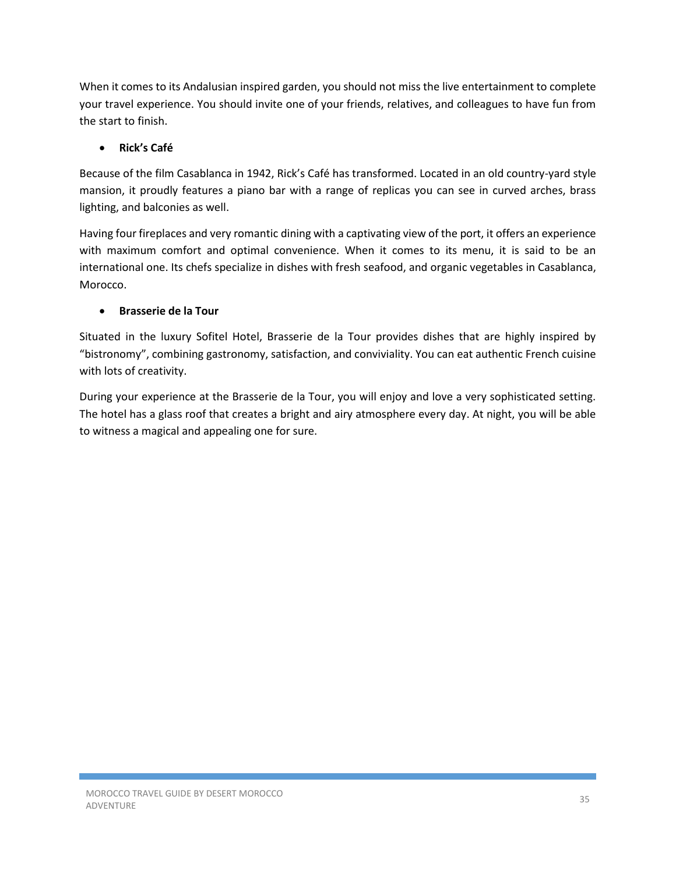When it comes to its Andalusian inspired garden, you should not miss the live entertainment to complete your travel experience. You should invite one of your friends, relatives, and colleagues to have fun from the start to finish.

# **Rick's Café**

Because of the film Casablanca in 1942, Rick's Café has transformed. Located in an old country-yard style mansion, it proudly features a piano bar with a range of replicas you can see in curved arches, brass lighting, and balconies as well.

Having four fireplaces and very romantic dining with a captivating view of the port, it offers an experience with maximum comfort and optimal convenience. When it comes to its menu, it is said to be an international one. Its chefs specialize in dishes with fresh seafood, and organic vegetables in Casablanca, Morocco.

# **Brasserie de la Tour**

Situated in the luxury Sofitel Hotel, Brasserie de la Tour provides dishes that are highly inspired by "bistronomy", combining gastronomy, satisfaction, and conviviality. You can eat authentic French cuisine with lots of creativity.

During your experience at the Brasserie de la Tour, you will enjoy and love a very sophisticated setting. The hotel has a glass roof that creates a bright and airy atmosphere every day. At night, you will be able to witness a magical and appealing one for sure.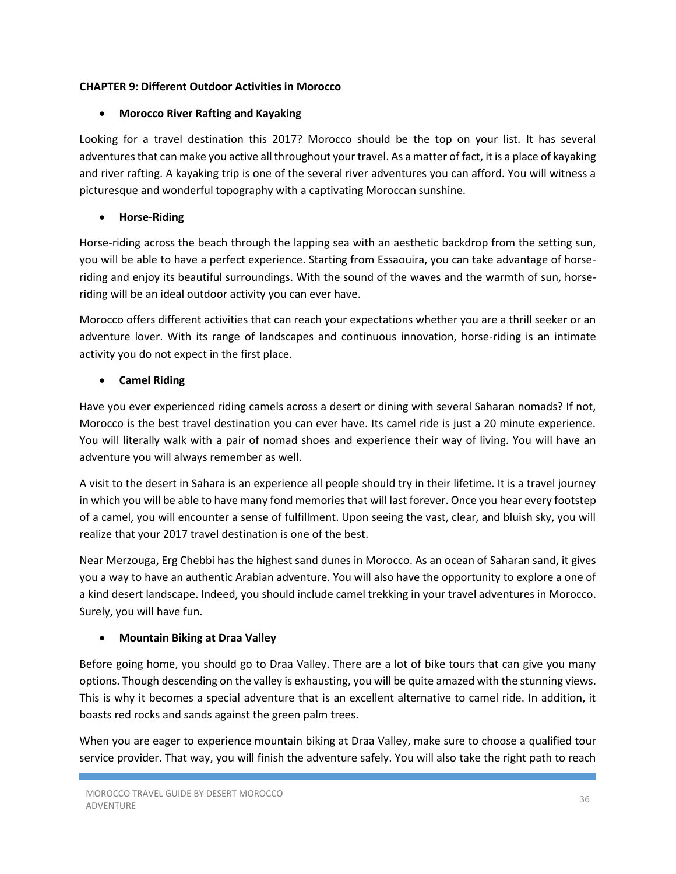# **CHAPTER 9: Different Outdoor Activities in Morocco**

# **Morocco River Rafting and Kayaking**

Looking for a travel destination this 2017? Morocco should be the top on your list. It has several adventures that can make you active all throughout your travel. As a matter of fact, it is a place of kayaking and river rafting. A kayaking trip is one of the several river adventures you can afford. You will witness a picturesque and wonderful topography with a captivating Moroccan sunshine.

# **Horse-Riding**

Horse-riding across the beach through the lapping sea with an aesthetic backdrop from the setting sun, you will be able to have a perfect experience. Starting from Essaouira, you can take advantage of horseriding and enjoy its beautiful surroundings. With the sound of the waves and the warmth of sun, horseriding will be an ideal outdoor activity you can ever have.

Morocco offers different activities that can reach your expectations whether you are a thrill seeker or an adventure lover. With its range of landscapes and continuous innovation, horse-riding is an intimate activity you do not expect in the first place.

# **Camel Riding**

Have you ever experienced riding camels across a desert or dining with several Saharan nomads? If not, Morocco is the best travel destination you can ever have. Its camel ride is just a 20 minute experience. You will literally walk with a pair of nomad shoes and experience their way of living. You will have an adventure you will always remember as well.

A visit to the desert in Sahara is an experience all people should try in their lifetime. It is a travel journey in which you will be able to have many fond memories that will last forever. Once you hear every footstep of a camel, you will encounter a sense of fulfillment. Upon seeing the vast, clear, and bluish sky, you will realize that your 2017 travel destination is one of the best.

Near Merzouga, Erg Chebbi has the highest sand dunes in Morocco. As an ocean of Saharan sand, it gives you a way to have an authentic Arabian adventure. You will also have the opportunity to explore a one of a kind desert landscape. Indeed, you should include camel trekking in your travel adventures in Morocco. Surely, you will have fun.

# **Mountain Biking at Draa Valley**

Before going home, you should go to Draa Valley. There are a lot of bike tours that can give you many options. Though descending on the valley is exhausting, you will be quite amazed with the stunning views. This is why it becomes a special adventure that is an excellent alternative to camel ride. In addition, it boasts red rocks and sands against the green palm trees.

When you are eager to experience mountain biking at Draa Valley, make sure to choose a qualified tour service provider. That way, you will finish the adventure safely. You will also take the right path to reach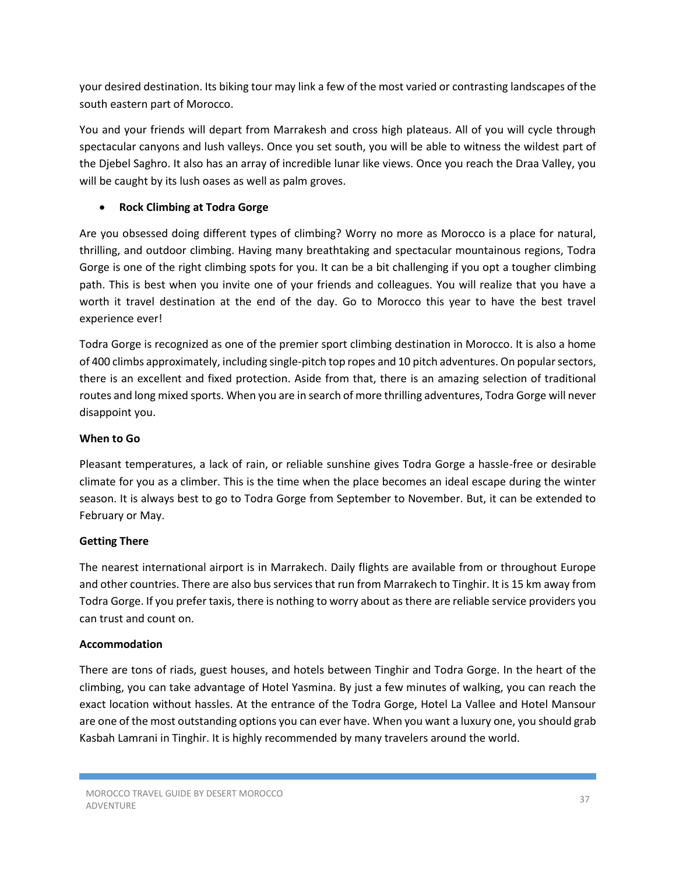your desired destination. Its biking tour may link a few of the most varied or contrasting landscapes of the south eastern part of Morocco.

You and your friends will depart from Marrakesh and cross high plateaus. All of you will cycle through spectacular canyons and lush valleys. Once you set south, you will be able to witness the wildest part of the Djebel Saghro. It also has an array of incredible lunar like views. Once you reach the Draa Valley, you will be caught by its lush oases as well as palm groves.

# **Rock Climbing at Todra Gorge**

Are you obsessed doing different types of climbing? Worry no more as Morocco is a place for natural, thrilling, and outdoor climbing. Having many breathtaking and spectacular mountainous regions, Todra Gorge is one of the right climbing spots for you. It can be a bit challenging if you opt a tougher climbing path. This is best when you invite one of your friends and colleagues. You will realize that you have a worth it travel destination at the end of the day. Go to Morocco this year to have the best travel experience ever!

Todra Gorge is recognized as one of the premier sport climbing destination in Morocco. It is also a home of 400 climbs approximately, including single-pitch top ropes and 10 pitch adventures. On popular sectors, there is an excellent and fixed protection. Aside from that, there is an amazing selection of traditional routes and long mixed sports. When you are in search of more thrilling adventures, Todra Gorge will never disappoint you.

# **When to Go**

Pleasant temperatures, a lack of rain, or reliable sunshine gives Todra Gorge a hassle-free or desirable climate for you as a climber. This is the time when the place becomes an ideal escape during the winter season. It is always best to go to Todra Gorge from September to November. But, it can be extended to February or May.

# **Getting There**

The nearest international airport is in Marrakech. Daily flights are available from or throughout Europe and other countries. There are also bus services that run from Marrakech to Tinghir. It is 15 km away from Todra Gorge. If you prefer taxis, there is nothing to worry about as there are reliable service providers you can trust and count on.

# **Accommodation**

There are tons of riads, guest houses, and hotels between Tinghir and Todra Gorge. In the heart of the climbing, you can take advantage of Hotel Yasmina. By just a few minutes of walking, you can reach the exact location without hassles. At the entrance of the Todra Gorge, Hotel La Vallee and Hotel Mansour are one of the most outstanding options you can ever have. When you want a luxury one, you should grab Kasbah Lamrani in Tinghir. It is highly recommended by many travelers around the world.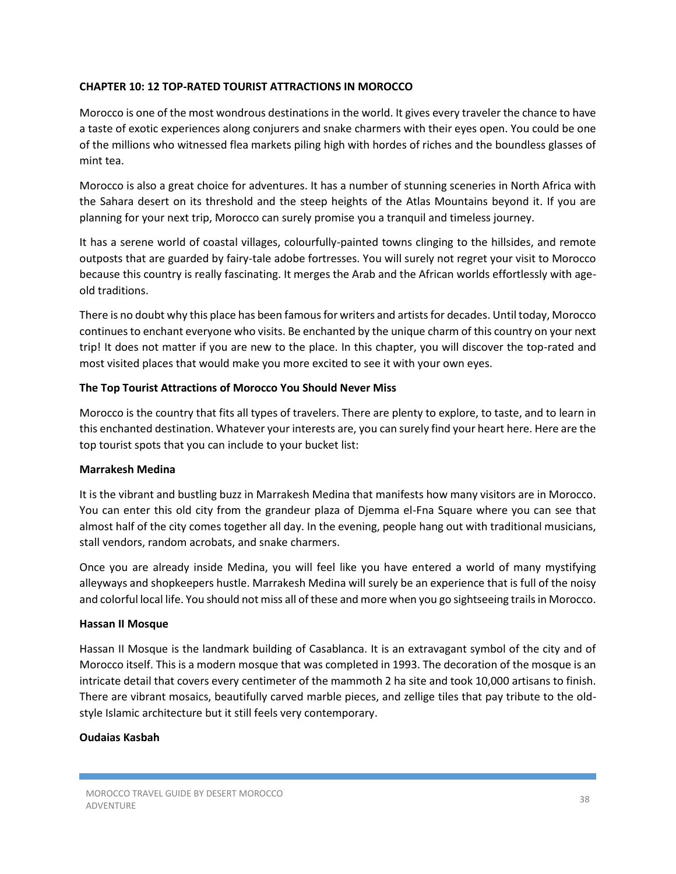#### **CHAPTER 10: 12 TOP-RATED TOURIST ATTRACTIONS IN MOROCCO**

Morocco is one of the most wondrous destinations in the world. It gives every traveler the chance to have a taste of exotic experiences along conjurers and snake charmers with their eyes open. You could be one of the millions who witnessed flea markets piling high with hordes of riches and the boundless glasses of mint tea.

Morocco is also a great choice for adventures. It has a number of stunning sceneries in North Africa with the Sahara desert on its threshold and the steep heights of the Atlas Mountains beyond it. If you are planning for your next trip, Morocco can surely promise you a tranquil and timeless journey.

It has a serene world of coastal villages, colourfully-painted towns clinging to the hillsides, and remote outposts that are guarded by fairy-tale adobe fortresses. You will surely not regret your visit to Morocco because this country is really fascinating. It merges the Arab and the African worlds effortlessly with ageold traditions.

There is no doubt why this place has been famous for writers and artists for decades. Until today, Morocco continues to enchant everyone who visits. Be enchanted by the unique charm of this country on your next trip! It does not matter if you are new to the place. In this chapter, you will discover the top-rated and most visited places that would make you more excited to see it with your own eyes.

#### **The Top Tourist Attractions of Morocco You Should Never Miss**

Morocco is the country that fits all types of travelers. There are plenty to explore, to taste, and to learn in this enchanted destination. Whatever your interests are, you can surely find your heart here. Here are the top tourist spots that you can include to your bucket list:

#### **Marrakesh Medina**

It is the vibrant and bustling buzz in Marrakesh Medina that manifests how many visitors are in Morocco. You can enter this old city from the grandeur plaza of Djemma el-Fna Square where you can see that almost half of the city comes together all day. In the evening, people hang out with traditional musicians, stall vendors, random acrobats, and snake charmers.

Once you are already inside Medina, you will feel like you have entered a world of many mystifying alleyways and shopkeepers hustle. Marrakesh Medina will surely be an experience that is full of the noisy and colorful local life. You should not miss all of these and more when you go sightseeing trails in Morocco.

#### **Hassan II Mosque**

Hassan II Mosque is the landmark building of Casablanca. It is an extravagant symbol of the city and of Morocco itself. This is a modern mosque that was completed in 1993. The decoration of the mosque is an intricate detail that covers every centimeter of the mammoth 2 ha site and took 10,000 artisans to finish. There are vibrant mosaics, beautifully carved marble pieces, and zellige tiles that pay tribute to the oldstyle Islamic architecture but it still feels very contemporary.

#### **Oudaias Kasbah**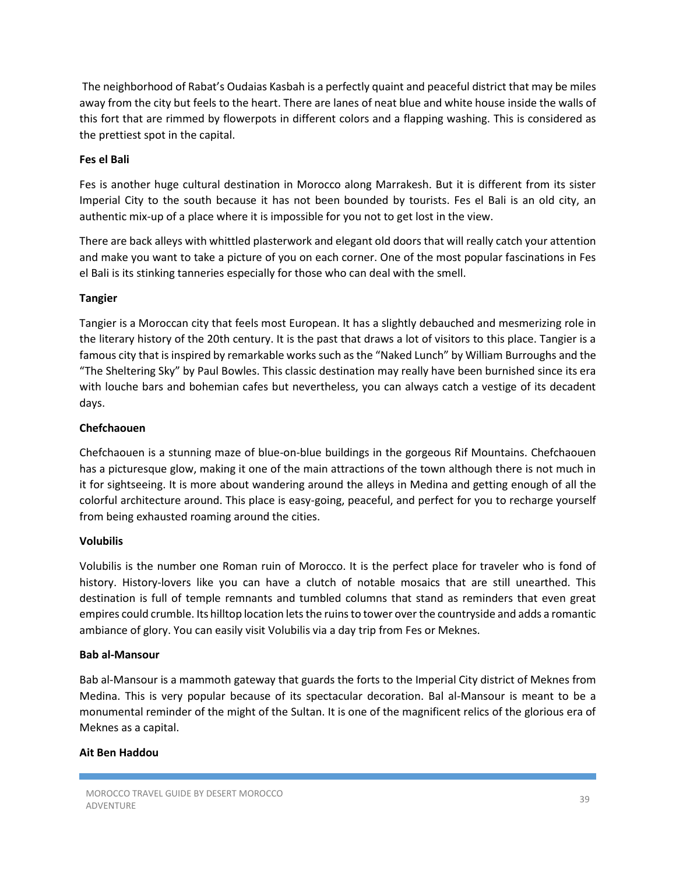The neighborhood of Rabat's Oudaias Kasbah is a perfectly quaint and peaceful district that may be miles away from the city but feels to the heart. There are lanes of neat blue and white house inside the walls of this fort that are rimmed by flowerpots in different colors and a flapping washing. This is considered as the prettiest spot in the capital.

#### **Fes el Bali**

Fes is another huge cultural destination in Morocco along Marrakesh. But it is different from its sister Imperial City to the south because it has not been bounded by tourists. Fes el Bali is an old city, an authentic mix-up of a place where it is impossible for you not to get lost in the view.

There are back alleys with whittled plasterwork and elegant old doors that will really catch your attention and make you want to take a picture of you on each corner. One of the most popular fascinations in Fes el Bali is its stinking tanneries especially for those who can deal with the smell.

#### **Tangier**

Tangier is a Moroccan city that feels most European. It has a slightly debauched and mesmerizing role in the literary history of the 20th century. It is the past that draws a lot of visitors to this place. Tangier is a famous city that is inspired by remarkable works such as the "Naked Lunch" by William Burroughs and the "The Sheltering Sky" by Paul Bowles. This classic destination may really have been burnished since its era with louche bars and bohemian cafes but nevertheless, you can always catch a vestige of its decadent days.

#### **Chefchaouen**

Chefchaouen is a stunning maze of blue-on-blue buildings in the gorgeous Rif Mountains. Chefchaouen has a picturesque glow, making it one of the main attractions of the town although there is not much in it for sightseeing. It is more about wandering around the alleys in Medina and getting enough of all the colorful architecture around. This place is easy-going, peaceful, and perfect for you to recharge yourself from being exhausted roaming around the cities.

#### **Volubilis**

Volubilis is the number one Roman ruin of Morocco. It is the perfect place for traveler who is fond of history. History-lovers like you can have a clutch of notable mosaics that are still unearthed. This destination is full of temple remnants and tumbled columns that stand as reminders that even great empires could crumble. Its hilltop location lets the ruins to tower over the countryside and adds a romantic ambiance of glory. You can easily visit Volubilis via a day trip from Fes or Meknes.

#### **Bab al-Mansour**

Bab al-Mansour is a mammoth gateway that guards the forts to the Imperial City district of Meknes from Medina. This is very popular because of its spectacular decoration. Bal al-Mansour is meant to be a monumental reminder of the might of the Sultan. It is one of the magnificent relics of the glorious era of Meknes as a capital.

#### **Ait Ben Haddou**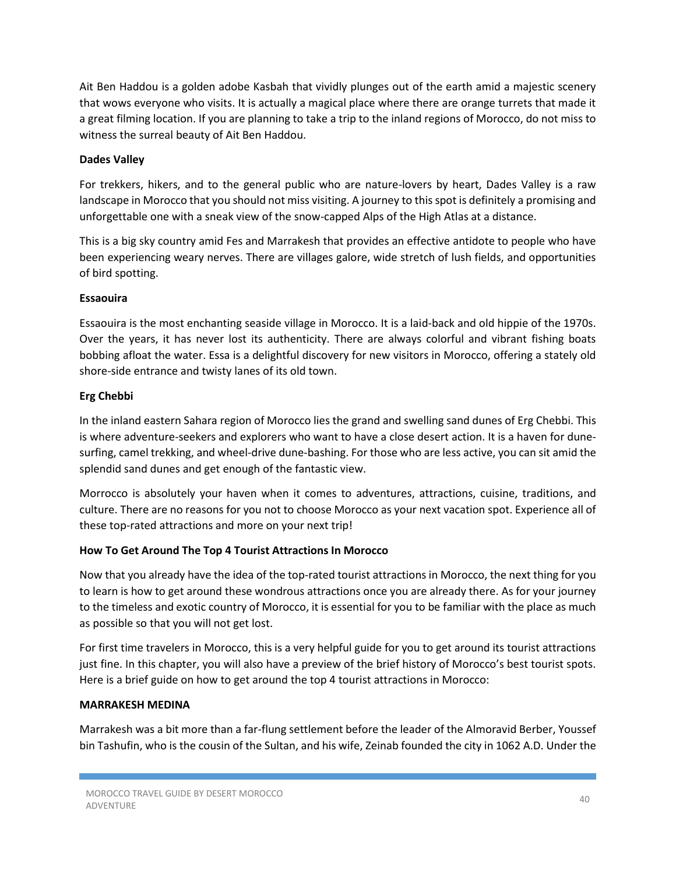Ait Ben Haddou is a golden adobe Kasbah that vividly plunges out of the earth amid a majestic scenery that wows everyone who visits. It is actually a magical place where there are orange turrets that made it a great filming location. If you are planning to take a trip to the inland regions of Morocco, do not miss to witness the surreal beauty of Ait Ben Haddou.

# **Dades Valley**

For trekkers, hikers, and to the general public who are nature-lovers by heart, Dades Valley is a raw landscape in Morocco that you should not miss visiting. A journey to this spot is definitely a promising and unforgettable one with a sneak view of the snow-capped Alps of the High Atlas at a distance.

This is a big sky country amid Fes and Marrakesh that provides an effective antidote to people who have been experiencing weary nerves. There are villages galore, wide stretch of lush fields, and opportunities of bird spotting.

# **Essaouira**

Essaouira is the most enchanting seaside village in Morocco. It is a laid-back and old hippie of the 1970s. Over the years, it has never lost its authenticity. There are always colorful and vibrant fishing boats bobbing afloat the water. Essa is a delightful discovery for new visitors in Morocco, offering a stately old shore-side entrance and twisty lanes of its old town.

# **Erg Chebbi**

In the inland eastern Sahara region of Morocco lies the grand and swelling sand dunes of Erg Chebbi. This is where adventure-seekers and explorers who want to have a close desert action. It is a haven for dunesurfing, camel trekking, and wheel-drive dune-bashing. For those who are less active, you can sit amid the splendid sand dunes and get enough of the fantastic view.

Morrocco is absolutely your haven when it comes to adventures, attractions, cuisine, traditions, and culture. There are no reasons for you not to choose Morocco as your next vacation spot. Experience all of these top-rated attractions and more on your next trip!

# **How To Get Around The Top 4 Tourist Attractions In Morocco**

Now that you already have the idea of the top-rated tourist attractions in Morocco, the next thing for you to learn is how to get around these wondrous attractions once you are already there. As for your journey to the timeless and exotic country of Morocco, it is essential for you to be familiar with the place as much as possible so that you will not get lost.

For first time travelers in Morocco, this is a very helpful guide for you to get around its tourist attractions just fine. In this chapter, you will also have a preview of the brief history of Morocco's best tourist spots. Here is a brief guide on how to get around the top 4 tourist attractions in Morocco:

# **MARRAKESH MEDINA**

Marrakesh was a bit more than a far-flung settlement before the leader of the Almoravid Berber, Youssef bin Tashufin, who is the cousin of the Sultan, and his wife, Zeinab founded the city in 1062 A.D. Under the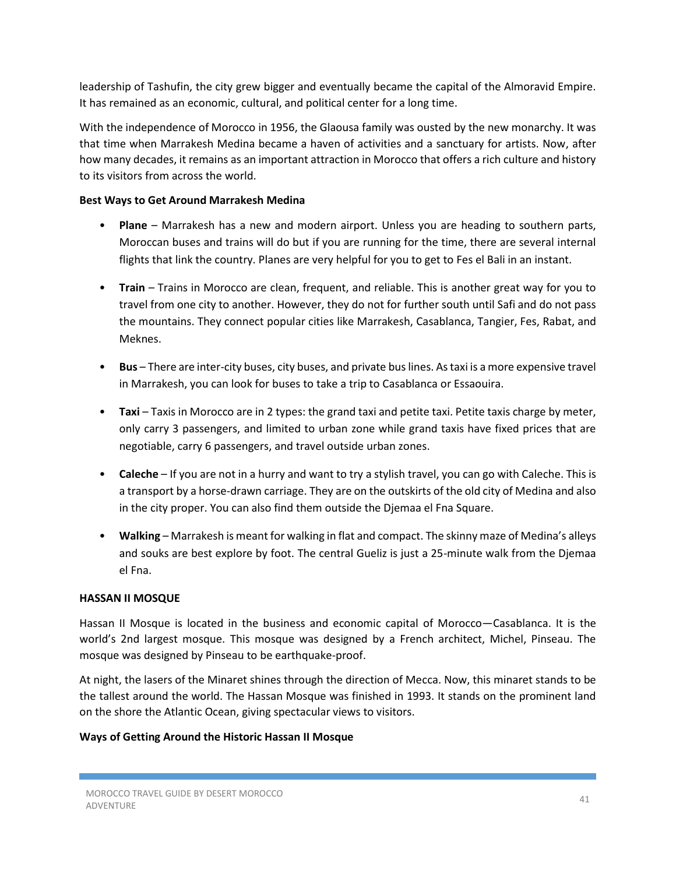leadership of Tashufin, the city grew bigger and eventually became the capital of the Almoravid Empire. It has remained as an economic, cultural, and political center for a long time.

With the independence of Morocco in 1956, the Glaousa family was ousted by the new monarchy. It was that time when Marrakesh Medina became a haven of activities and a sanctuary for artists. Now, after how many decades, it remains as an important attraction in Morocco that offers a rich culture and history to its visitors from across the world.

#### **Best Ways to Get Around Marrakesh Medina**

- **Plane** Marrakesh has a new and modern airport. Unless you are heading to southern parts, Moroccan buses and trains will do but if you are running for the time, there are several internal flights that link the country. Planes are very helpful for you to get to Fes el Bali in an instant.
- **Train** Trains in Morocco are clean, frequent, and reliable. This is another great way for you to travel from one city to another. However, they do not for further south until Safi and do not pass the mountains. They connect popular cities like Marrakesh, Casablanca, Tangier, Fes, Rabat, and Meknes.
- **Bus** There are inter-city buses, city buses, and private bus lines. As taxi is a more expensive travel in Marrakesh, you can look for buses to take a trip to Casablanca or Essaouira.
- **Taxi** Taxis in Morocco are in 2 types: the grand taxi and petite taxi. Petite taxis charge by meter, only carry 3 passengers, and limited to urban zone while grand taxis have fixed prices that are negotiable, carry 6 passengers, and travel outside urban zones.
- **Caleche** If you are not in a hurry and want to try a stylish travel, you can go with Caleche. This is a transport by a horse-drawn carriage. They are on the outskirts of the old city of Medina and also in the city proper. You can also find them outside the Djemaa el Fna Square.
- **Walking** Marrakesh is meant for walking in flat and compact. The skinny maze of Medina's alleys and souks are best explore by foot. The central Gueliz is just a 25-minute walk from the Djemaa el Fna.

# **HASSAN II MOSQUE**

Hassan II Mosque is located in the business and economic capital of Morocco—Casablanca. It is the world's 2nd largest mosque. This mosque was designed by a French architect, Michel, Pinseau. The mosque was designed by Pinseau to be earthquake-proof.

At night, the lasers of the Minaret shines through the direction of Mecca. Now, this minaret stands to be the tallest around the world. The Hassan Mosque was finished in 1993. It stands on the prominent land on the shore the Atlantic Ocean, giving spectacular views to visitors.

# **Ways of Getting Around the Historic Hassan II Mosque**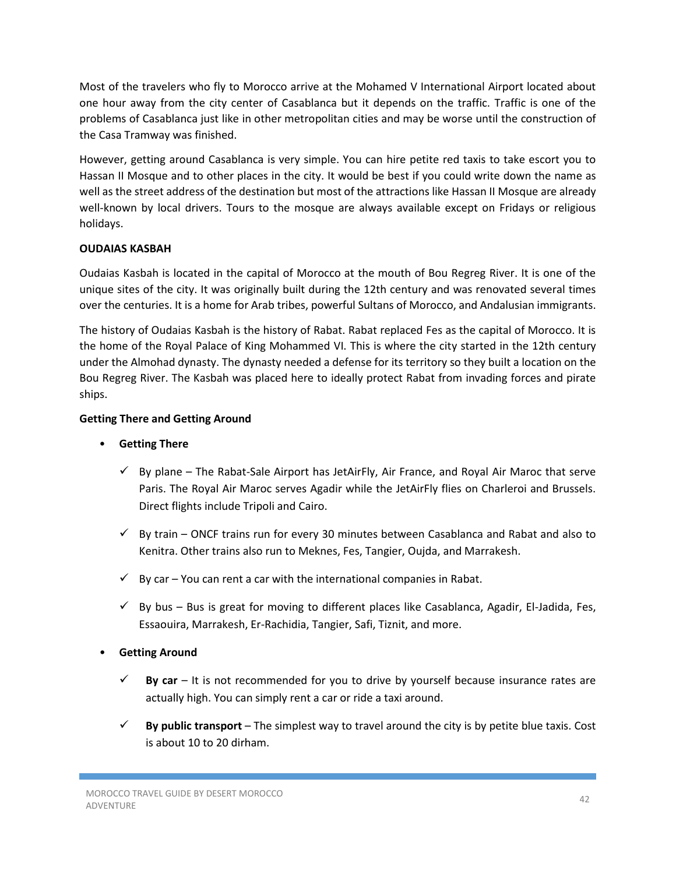Most of the travelers who fly to Morocco arrive at the Mohamed V International Airport located about one hour away from the city center of Casablanca but it depends on the traffic. Traffic is one of the problems of Casablanca just like in other metropolitan cities and may be worse until the construction of the Casa Tramway was finished.

However, getting around Casablanca is very simple. You can hire petite red taxis to take escort you to Hassan II Mosque and to other places in the city. It would be best if you could write down the name as well as the street address of the destination but most of the attractions like Hassan II Mosque are already well-known by local drivers. Tours to the mosque are always available except on Fridays or religious holidays.

# **OUDAIAS KASBAH**

Oudaias Kasbah is located in the capital of Morocco at the mouth of Bou Regreg River. It is one of the unique sites of the city. It was originally built during the 12th century and was renovated several times over the centuries. It is a home for Arab tribes, powerful Sultans of Morocco, and Andalusian immigrants.

The history of Oudaias Kasbah is the history of Rabat. Rabat replaced Fes as the capital of Morocco. It is the home of the Royal Palace of King Mohammed VI. This is where the city started in the 12th century under the Almohad dynasty. The dynasty needed a defense for its territory so they built a location on the Bou Regreg River. The Kasbah was placed here to ideally protect Rabat from invading forces and pirate ships.

# **Getting There and Getting Around**

- **Getting There** 
	- $\checkmark$  By plane The Rabat-Sale Airport has JetAirFly, Air France, and Royal Air Maroc that serve Paris. The Royal Air Maroc serves Agadir while the JetAirFly flies on Charleroi and Brussels. Direct flights include Tripoli and Cairo.
	- $\checkmark$  By train ONCF trains run for every 30 minutes between Casablanca and Rabat and also to Kenitra. Other trains also run to Meknes, Fes, Tangier, Oujda, and Marrakesh.
	- $\checkmark$  By car You can rent a car with the international companies in Rabat.
	- $\checkmark$  By bus Bus is great for moving to different places like Casablanca, Agadir, El-Jadida, Fes, Essaouira, Marrakesh, Er-Rachidia, Tangier, Safi, Tiznit, and more.
- **Getting Around** 
	- **By car** It is not recommended for you to drive by yourself because insurance rates are actually high. You can simply rent a car or ride a taxi around.
	- **By public transport** The simplest way to travel around the city is by petite blue taxis. Cost is about 10 to 20 dirham.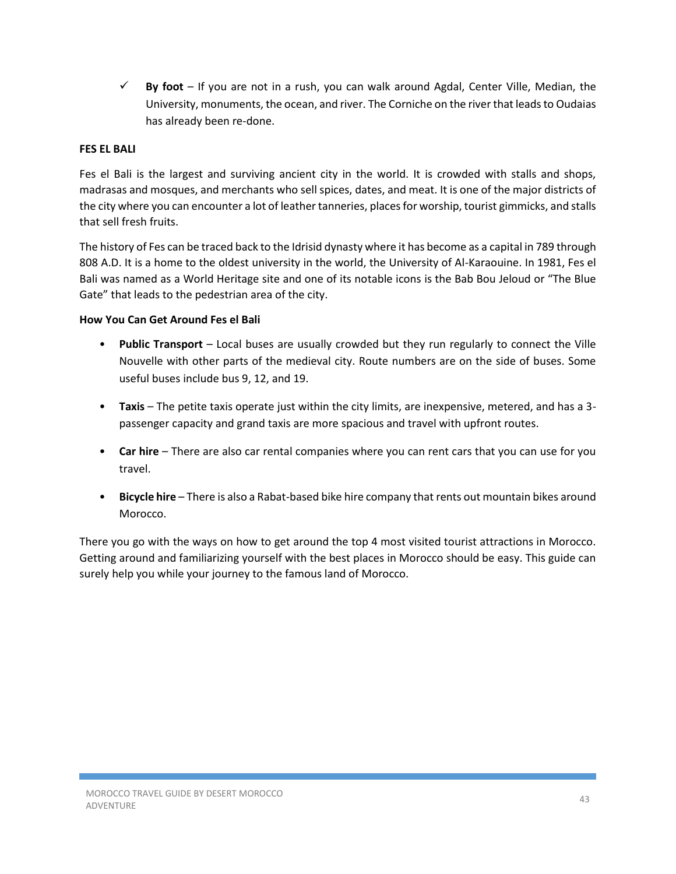**By foot** – If you are not in a rush, you can walk around Agdal, Center Ville, Median, the University, monuments, the ocean, and river. The Corniche on the river that leads to Oudaias has already been re-done.

# **FES EL BALI**

Fes el Bali is the largest and surviving ancient city in the world. It is crowded with stalls and shops, madrasas and mosques, and merchants who sell spices, dates, and meat. It is one of the major districts of the city where you can encounter a lot of leather tanneries, places for worship, tourist gimmicks, and stalls that sell fresh fruits.

The history of Fes can be traced back to the Idrisid dynasty where it has become as a capital in 789 through 808 A.D. It is a home to the oldest university in the world, the University of Al-Karaouine. In 1981, Fes el Bali was named as a World Heritage site and one of its notable icons is the Bab Bou Jeloud or "The Blue Gate" that leads to the pedestrian area of the city.

# **How You Can Get Around Fes el Bali**

- **Public Transport** Local buses are usually crowded but they run regularly to connect the Ville Nouvelle with other parts of the medieval city. Route numbers are on the side of buses. Some useful buses include bus 9, 12, and 19.
- **Taxis** The petite taxis operate just within the city limits, are inexpensive, metered, and has a 3 passenger capacity and grand taxis are more spacious and travel with upfront routes.
- **Car hire** There are also car rental companies where you can rent cars that you can use for you travel.
- **Bicycle hire** There is also a Rabat-based bike hire company that rents out mountain bikes around Morocco.

There you go with the ways on how to get around the top 4 most visited tourist attractions in Morocco. Getting around and familiarizing yourself with the best places in Morocco should be easy. This guide can surely help you while your journey to the famous land of Morocco.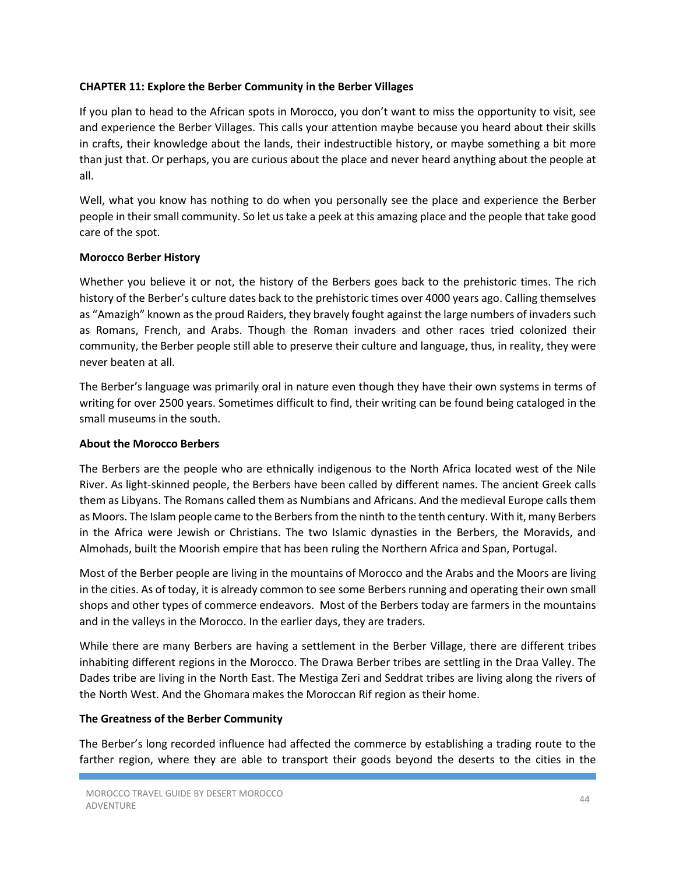#### **CHAPTER 11: Explore the Berber Community in the Berber Villages**

If you plan to head to the African spots in Morocco, you don't want to miss the opportunity to visit, see and experience the Berber Villages. This calls your attention maybe because you heard about their skills in crafts, their knowledge about the lands, their indestructible history, or maybe something a bit more than just that. Or perhaps, you are curious about the place and never heard anything about the people at all.

Well, what you know has nothing to do when you personally see the place and experience the Berber people in their small community. So let us take a peek at this amazing place and the people that take good care of the spot.

# **Morocco Berber History**

Whether you believe it or not, the history of the Berbers goes back to the prehistoric times. The rich history of the Berber's culture dates back to the prehistoric times over 4000 years ago. Calling themselves as "Amazigh" known as the proud Raiders, they bravely fought against the large numbers of invaders such as Romans, French, and Arabs. Though the Roman invaders and other races tried colonized their community, the Berber people still able to preserve their culture and language, thus, in reality, they were never beaten at all.

The Berber's language was primarily oral in nature even though they have their own systems in terms of writing for over 2500 years. Sometimes difficult to find, their writing can be found being cataloged in the small museums in the south.

#### **About the Morocco Berbers**

The Berbers are the people who are ethnically indigenous to the North Africa located west of the Nile River. As light-skinned people, the Berbers have been called by different names. The ancient Greek calls them as Libyans. The Romans called them as Numbians and Africans. And the medieval Europe calls them as Moors. The Islam people came to the Berbers from the ninth to the tenth century. With it, many Berbers in the Africa were Jewish or Christians. The two Islamic dynasties in the Berbers, the Moravids, and Almohads, built the Moorish empire that has been ruling the Northern Africa and Span, Portugal.

Most of the Berber people are living in the mountains of Morocco and the Arabs and the Moors are living in the cities. As of today, it is already common to see some Berbers running and operating their own small shops and other types of commerce endeavors. Most of the Berbers today are farmers in the mountains and in the valleys in the Morocco. In the earlier days, they are traders.

While there are many Berbers are having a settlement in the Berber Village, there are different tribes inhabiting different regions in the Morocco. The Drawa Berber tribes are settling in the Draa Valley. The Dades tribe are living in the North East. The Mestiga Zeri and Seddrat tribes are living along the rivers of the North West. And the Ghomara makes the Moroccan Rif region as their home.

#### **The Greatness of the Berber Community**

The Berber's long recorded influence had affected the commerce by establishing a trading route to the farther region, where they are able to transport their goods beyond the deserts to the cities in the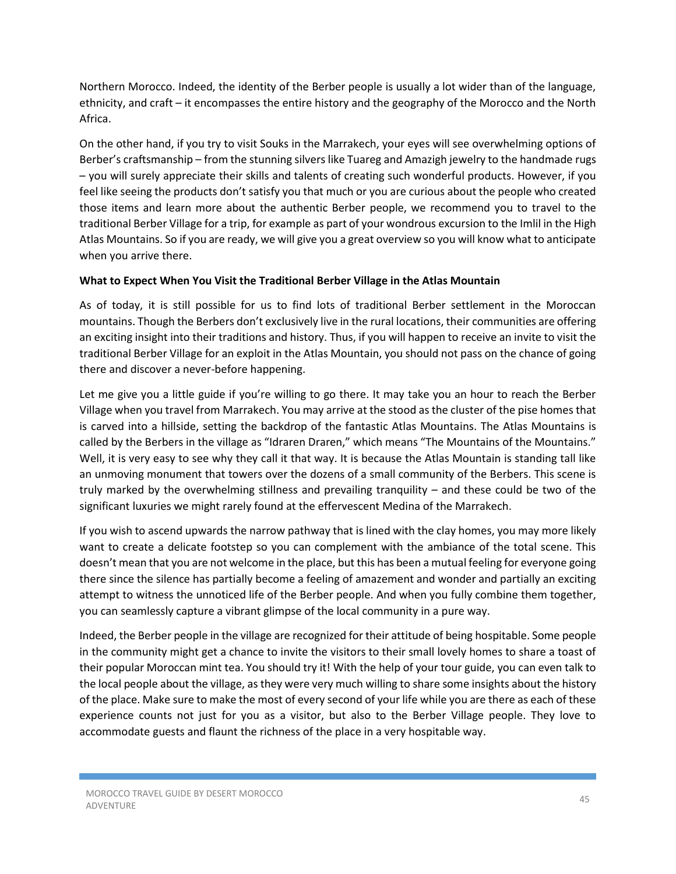Northern Morocco. Indeed, the identity of the Berber people is usually a lot wider than of the language, ethnicity, and craft – it encompasses the entire history and the geography of the Morocco and the North Africa.

On the other hand, if you try to visit Souks in the Marrakech, your eyes will see overwhelming options of Berber's craftsmanship – from the stunning silvers like Tuareg and Amazigh jewelry to the handmade rugs – you will surely appreciate their skills and talents of creating such wonderful products. However, if you feel like seeing the products don't satisfy you that much or you are curious about the people who created those items and learn more about the authentic Berber people, we recommend you to travel to the traditional Berber Village for a trip, for example as part of your wondrous excursion to the Imlil in the High Atlas Mountains. So if you are ready, we will give you a great overview so you will know what to anticipate when you arrive there.

#### **What to Expect When You Visit the Traditional Berber Village in the Atlas Mountain**

As of today, it is still possible for us to find lots of traditional Berber settlement in the Moroccan mountains. Though the Berbers don't exclusively live in the rural locations, their communities are offering an exciting insight into their traditions and history. Thus, if you will happen to receive an invite to visit the traditional Berber Village for an exploit in the Atlas Mountain, you should not pass on the chance of going there and discover a never-before happening.

Let me give you a little guide if you're willing to go there. It may take you an hour to reach the Berber Village when you travel from Marrakech. You may arrive at the stood as the cluster of the pise homes that is carved into a hillside, setting the backdrop of the fantastic Atlas Mountains. The Atlas Mountains is called by the Berbers in the village as "Idraren Draren," which means "The Mountains of the Mountains." Well, it is very easy to see why they call it that way. It is because the Atlas Mountain is standing tall like an unmoving monument that towers over the dozens of a small community of the Berbers. This scene is truly marked by the overwhelming stillness and prevailing tranquility – and these could be two of the significant luxuries we might rarely found at the effervescent Medina of the Marrakech.

If you wish to ascend upwards the narrow pathway that is lined with the clay homes, you may more likely want to create a delicate footstep so you can complement with the ambiance of the total scene. This doesn't mean that you are not welcome in the place, but this has been a mutual feeling for everyone going there since the silence has partially become a feeling of amazement and wonder and partially an exciting attempt to witness the unnoticed life of the Berber people. And when you fully combine them together, you can seamlessly capture a vibrant glimpse of the local community in a pure way.

Indeed, the Berber people in the village are recognized for their attitude of being hospitable. Some people in the community might get a chance to invite the visitors to their small lovely homes to share a toast of their popular Moroccan mint tea. You should try it! With the help of your tour guide, you can even talk to the local people about the village, as they were very much willing to share some insights about the history of the place. Make sure to make the most of every second of your life while you are there as each of these experience counts not just for you as a visitor, but also to the Berber Village people. They love to accommodate guests and flaunt the richness of the place in a very hospitable way.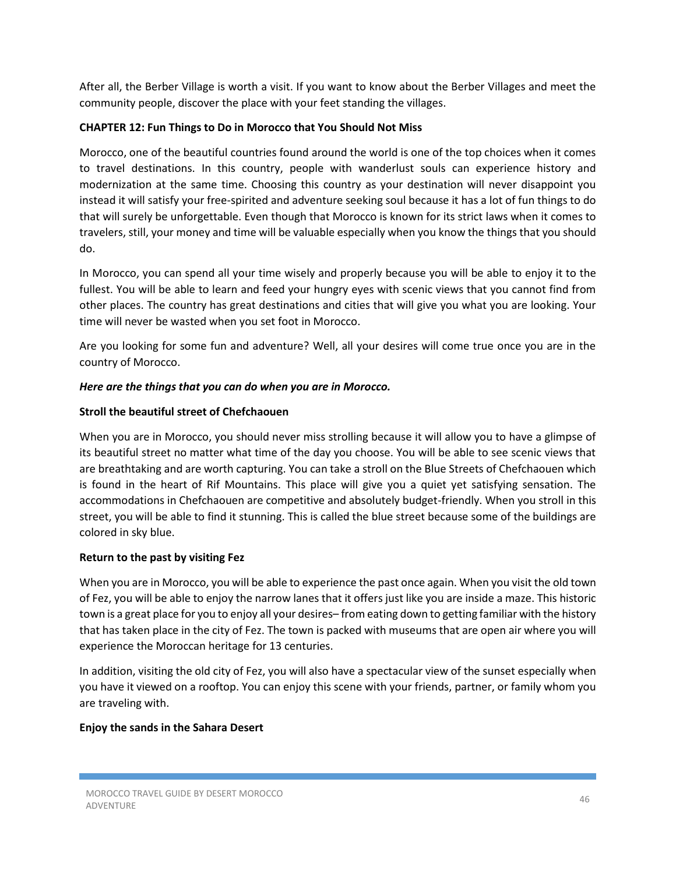After all, the Berber Village is worth a visit. If you want to know about the Berber Villages and meet the community people, discover the place with your feet standing the villages.

# **CHAPTER 12: Fun Things to Do in Morocco that You Should Not Miss**

Morocco, one of the beautiful countries found around the world is one of the top choices when it comes to travel destinations. In this country, people with wanderlust souls can experience history and modernization at the same time. Choosing this country as your destination will never disappoint you instead it will satisfy your free-spirited and adventure seeking soul because it has a lot of fun things to do that will surely be unforgettable. Even though that Morocco is known for its strict laws when it comes to travelers, still, your money and time will be valuable especially when you know the things that you should do.

In Morocco, you can spend all your time wisely and properly because you will be able to enjoy it to the fullest. You will be able to learn and feed your hungry eyes with scenic views that you cannot find from other places. The country has great destinations and cities that will give you what you are looking. Your time will never be wasted when you set foot in Morocco.

Are you looking for some fun and adventure? Well, all your desires will come true once you are in the country of Morocco.

#### *Here are the things that you can do when you are in Morocco.*

#### **Stroll the beautiful street of Chefchaouen**

When you are in Morocco, you should never miss strolling because it will allow you to have a glimpse of its beautiful street no matter what time of the day you choose. You will be able to see scenic views that are breathtaking and are worth capturing. You can take a stroll on the Blue Streets of Chefchaouen which is found in the heart of Rif Mountains. This place will give you a quiet yet satisfying sensation. The accommodations in Chefchaouen are competitive and absolutely budget-friendly. When you stroll in this street, you will be able to find it stunning. This is called the blue street because some of the buildings are colored in sky blue.

#### **Return to the past by visiting Fez**

When you are in Morocco, you will be able to experience the past once again. When you visit the old town of Fez, you will be able to enjoy the narrow lanes that it offers just like you are inside a maze. This historic town is a great place for you to enjoy all your desires– from eating down to getting familiar with the history that has taken place in the city of Fez. The town is packed with museums that are open air where you will experience the Moroccan heritage for 13 centuries.

In addition, visiting the old city of Fez, you will also have a spectacular view of the sunset especially when you have it viewed on a rooftop. You can enjoy this scene with your friends, partner, or family whom you are traveling with.

#### **Enjoy the sands in the Sahara Desert**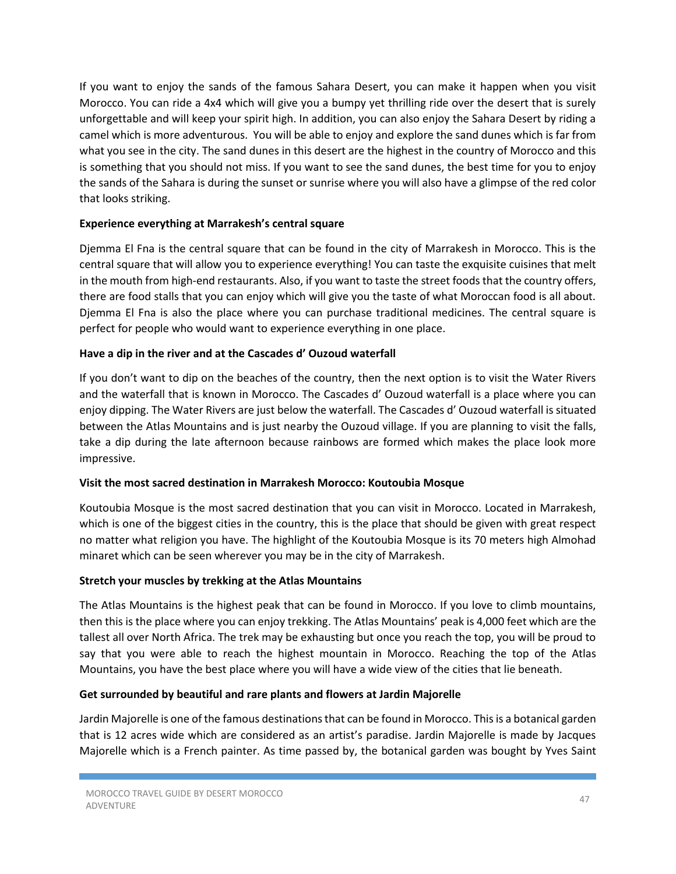If you want to enjoy the sands of the famous Sahara Desert, you can make it happen when you visit Morocco. You can ride a 4x4 which will give you a bumpy yet thrilling ride over the desert that is surely unforgettable and will keep your spirit high. In addition, you can also enjoy the Sahara Desert by riding a camel which is more adventurous. You will be able to enjoy and explore the sand dunes which is far from what you see in the city. The sand dunes in this desert are the highest in the country of Morocco and this is something that you should not miss. If you want to see the sand dunes, the best time for you to enjoy the sands of the Sahara is during the sunset or sunrise where you will also have a glimpse of the red color that looks striking.

#### **Experience everything at Marrakesh's central square**

Djemma El Fna is the central square that can be found in the city of Marrakesh in Morocco. This is the central square that will allow you to experience everything! You can taste the exquisite cuisines that melt in the mouth from high-end restaurants. Also, if you want to taste the street foods that the country offers, there are food stalls that you can enjoy which will give you the taste of what Moroccan food is all about. Djemma El Fna is also the place where you can purchase traditional medicines. The central square is perfect for people who would want to experience everything in one place.

#### **Have a dip in the river and at the Cascades d' Ouzoud waterfall**

If you don't want to dip on the beaches of the country, then the next option is to visit the Water Rivers and the waterfall that is known in Morocco. The Cascades d' Ouzoud waterfall is a place where you can enjoy dipping. The Water Rivers are just below the waterfall. The Cascades d' Ouzoud waterfall is situated between the Atlas Mountains and is just nearby the Ouzoud village. If you are planning to visit the falls, take a dip during the late afternoon because rainbows are formed which makes the place look more impressive.

#### **Visit the most sacred destination in Marrakesh Morocco: Koutoubia Mosque**

Koutoubia Mosque is the most sacred destination that you can visit in Morocco. Located in Marrakesh, which is one of the biggest cities in the country, this is the place that should be given with great respect no matter what religion you have. The highlight of the Koutoubia Mosque is its 70 meters high Almohad minaret which can be seen wherever you may be in the city of Marrakesh.

# **Stretch your muscles by trekking at the Atlas Mountains**

The Atlas Mountains is the highest peak that can be found in Morocco. If you love to climb mountains, then this is the place where you can enjoy trekking. The Atlas Mountains' peak is 4,000 feet which are the tallest all over North Africa. The trek may be exhausting but once you reach the top, you will be proud to say that you were able to reach the highest mountain in Morocco. Reaching the top of the Atlas Mountains, you have the best place where you will have a wide view of the cities that lie beneath.

#### **Get surrounded by beautiful and rare plants and flowers at Jardin Majorelle**

Jardin Majorelle is one of the famous destinations that can be found in Morocco. This is a botanical garden that is 12 acres wide which are considered as an artist's paradise. Jardin Majorelle is made by Jacques Majorelle which is a French painter. As time passed by, the botanical garden was bought by Yves Saint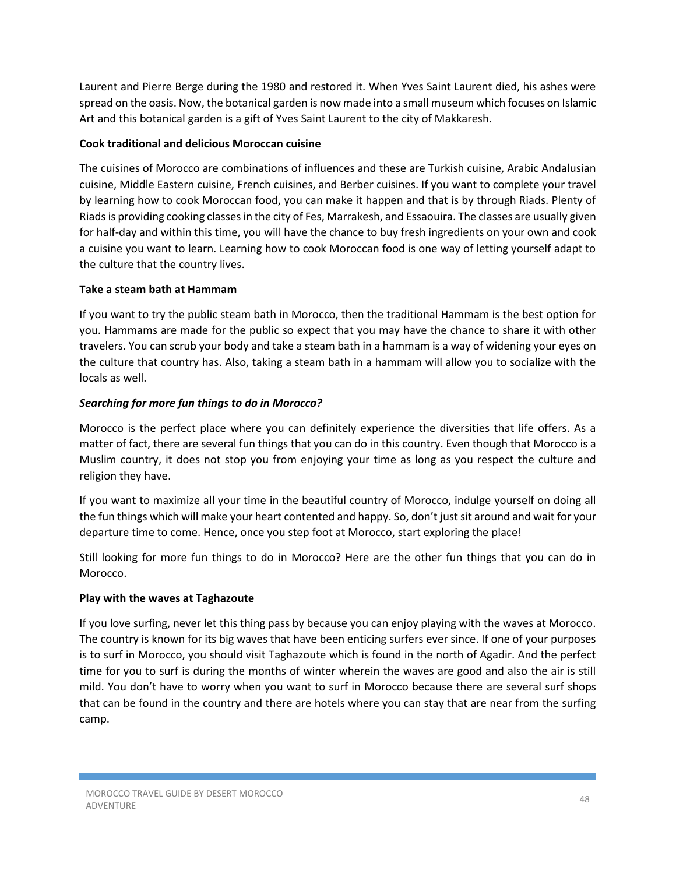Laurent and Pierre Berge during the 1980 and restored it. When Yves Saint Laurent died, his ashes were spread on the oasis. Now, the botanical garden is now made into a small museum which focuses on Islamic Art and this botanical garden is a gift of Yves Saint Laurent to the city of Makkaresh.

# **Cook traditional and delicious Moroccan cuisine**

The cuisines of Morocco are combinations of influences and these are Turkish cuisine, Arabic Andalusian cuisine, Middle Eastern cuisine, French cuisines, and Berber cuisines. If you want to complete your travel by learning how to cook Moroccan food, you can make it happen and that is by through Riads. Plenty of Riads is providing cooking classes in the city of Fes, Marrakesh, and Essaouira. The classes are usually given for half-day and within this time, you will have the chance to buy fresh ingredients on your own and cook a cuisine you want to learn. Learning how to cook Moroccan food is one way of letting yourself adapt to the culture that the country lives.

# **Take a steam bath at Hammam**

If you want to try the public steam bath in Morocco, then the traditional Hammam is the best option for you. Hammams are made for the public so expect that you may have the chance to share it with other travelers. You can scrub your body and take a steam bath in a hammam is a way of widening your eyes on the culture that country has. Also, taking a steam bath in a hammam will allow you to socialize with the locals as well.

# *Searching for more fun things to do in Morocco?*

Morocco is the perfect place where you can definitely experience the diversities that life offers. As a matter of fact, there are several fun things that you can do in this country. Even though that Morocco is a Muslim country, it does not stop you from enjoying your time as long as you respect the culture and religion they have.

If you want to maximize all your time in the beautiful country of Morocco, indulge yourself on doing all the fun things which will make your heart contented and happy. So, don't just sit around and wait for your departure time to come. Hence, once you step foot at Morocco, start exploring the place!

Still looking for more fun things to do in Morocco? Here are the other fun things that you can do in Morocco.

# **Play with the waves at Taghazoute**

If you love surfing, never let this thing pass by because you can enjoy playing with the waves at Morocco. The country is known for its big waves that have been enticing surfers ever since. If one of your purposes is to surf in Morocco, you should visit Taghazoute which is found in the north of Agadir. And the perfect time for you to surf is during the months of winter wherein the waves are good and also the air is still mild. You don't have to worry when you want to surf in Morocco because there are several surf shops that can be found in the country and there are hotels where you can stay that are near from the surfing camp.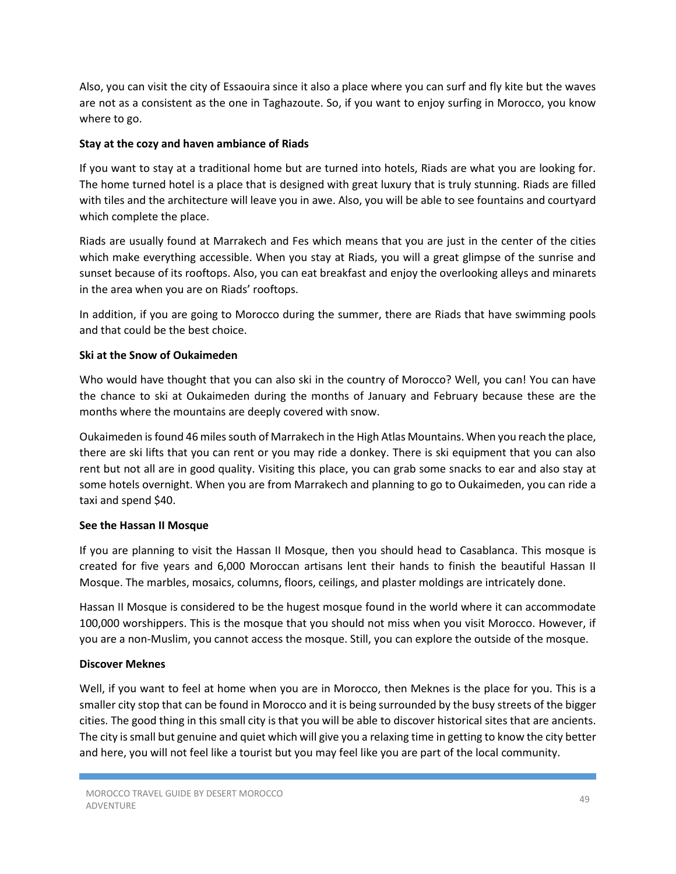Also, you can visit the city of Essaouira since it also a place where you can surf and fly kite but the waves are not as a consistent as the one in Taghazoute. So, if you want to enjoy surfing in Morocco, you know where to go.

# **Stay at the cozy and haven ambiance of Riads**

If you want to stay at a traditional home but are turned into hotels, Riads are what you are looking for. The home turned hotel is a place that is designed with great luxury that is truly stunning. Riads are filled with tiles and the architecture will leave you in awe. Also, you will be able to see fountains and courtyard which complete the place.

Riads are usually found at Marrakech and Fes which means that you are just in the center of the cities which make everything accessible. When you stay at Riads, you will a great glimpse of the sunrise and sunset because of its rooftops. Also, you can eat breakfast and enjoy the overlooking alleys and minarets in the area when you are on Riads' rooftops.

In addition, if you are going to Morocco during the summer, there are Riads that have swimming pools and that could be the best choice.

#### **Ski at the Snow of Oukaimeden**

Who would have thought that you can also ski in the country of Morocco? Well, you can! You can have the chance to ski at Oukaimeden during the months of January and February because these are the months where the mountains are deeply covered with snow.

Oukaimeden is found 46 miles south of Marrakech in the High Atlas Mountains. When you reach the place, there are ski lifts that you can rent or you may ride a donkey. There is ski equipment that you can also rent but not all are in good quality. Visiting this place, you can grab some snacks to ear and also stay at some hotels overnight. When you are from Marrakech and planning to go to Oukaimeden, you can ride a taxi and spend \$40.

#### **See the Hassan II Mosque**

If you are planning to visit the Hassan II Mosque, then you should head to Casablanca. This mosque is created for five years and 6,000 Moroccan artisans lent their hands to finish the beautiful Hassan II Mosque. The marbles, mosaics, columns, floors, ceilings, and plaster moldings are intricately done.

Hassan II Mosque is considered to be the hugest mosque found in the world where it can accommodate 100,000 worshippers. This is the mosque that you should not miss when you visit Morocco. However, if you are a non-Muslim, you cannot access the mosque. Still, you can explore the outside of the mosque.

# **Discover Meknes**

Well, if you want to feel at home when you are in Morocco, then Meknes is the place for you. This is a smaller city stop that can be found in Morocco and it is being surrounded by the busy streets of the bigger cities. The good thing in this small city is that you will be able to discover historical sites that are ancients. The city is small but genuine and quiet which will give you a relaxing time in getting to know the city better and here, you will not feel like a tourist but you may feel like you are part of the local community.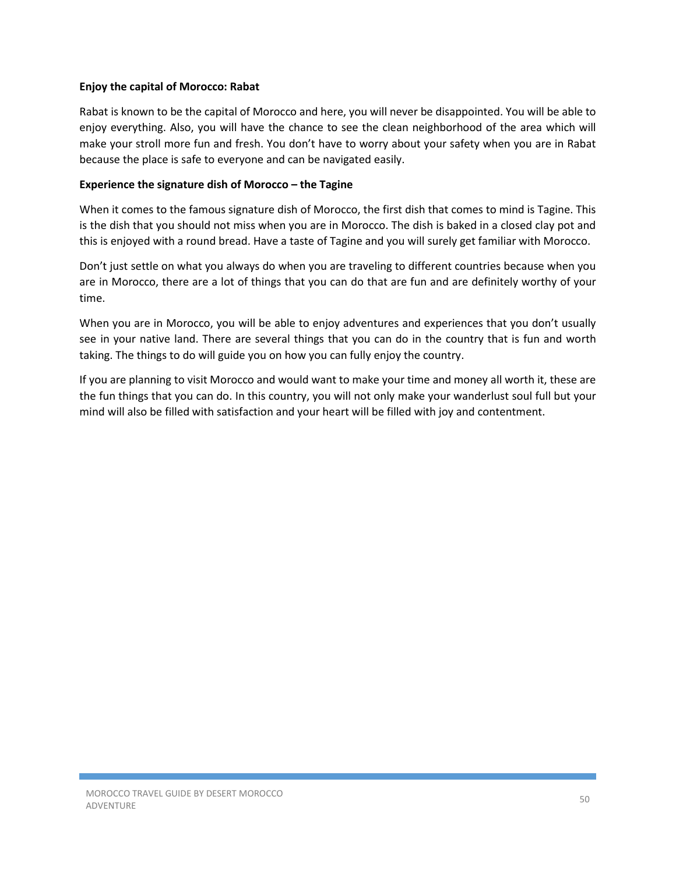#### **Enjoy the capital of Morocco: Rabat**

Rabat is known to be the capital of Morocco and here, you will never be disappointed. You will be able to enjoy everything. Also, you will have the chance to see the clean neighborhood of the area which will make your stroll more fun and fresh. You don't have to worry about your safety when you are in Rabat because the place is safe to everyone and can be navigated easily.

#### **Experience the signature dish of Morocco – the Tagine**

When it comes to the famous signature dish of Morocco, the first dish that comes to mind is Tagine. This is the dish that you should not miss when you are in Morocco. The dish is baked in a closed clay pot and this is enjoyed with a round bread. Have a taste of Tagine and you will surely get familiar with Morocco.

Don't just settle on what you always do when you are traveling to different countries because when you are in Morocco, there are a lot of things that you can do that are fun and are definitely worthy of your time.

When you are in Morocco, you will be able to enjoy adventures and experiences that you don't usually see in your native land. There are several things that you can do in the country that is fun and worth taking. The things to do will guide you on how you can fully enjoy the country.

If you are planning to visit Morocco and would want to make your time and money all worth it, these are the fun things that you can do. In this country, you will not only make your wanderlust soul full but your mind will also be filled with satisfaction and your heart will be filled with joy and contentment.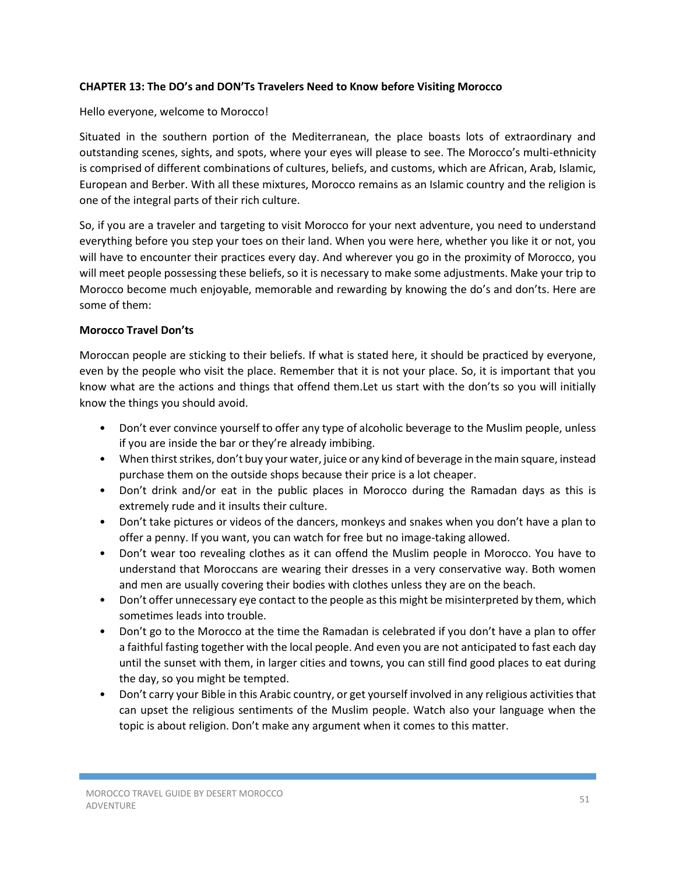#### **CHAPTER 13: The DO's and DON'Ts Travelers Need to Know before Visiting Morocco**

#### Hello everyone, welcome to Morocco!

Situated in the southern portion of the Mediterranean, the place boasts lots of extraordinary and outstanding scenes, sights, and spots, where your eyes will please to see. The Morocco's multi-ethnicity is comprised of different combinations of cultures, beliefs, and customs, which are African, Arab, Islamic, European and Berber. With all these mixtures, Morocco remains as an Islamic country and the religion is one of the integral parts of their rich culture.

So, if you are a traveler and targeting to visit Morocco for your next adventure, you need to understand everything before you step your toes on their land. When you were here, whether you like it or not, you will have to encounter their practices every day. And wherever you go in the proximity of Morocco, you will meet people possessing these beliefs, so it is necessary to make some adjustments. Make your trip to Morocco become much enjoyable, memorable and rewarding by knowing the do's and don'ts. Here are some of them:

#### **Morocco Travel Don'ts**

Moroccan people are sticking to their beliefs. If what is stated here, it should be practiced by everyone, even by the people who visit the place. Remember that it is not your place. So, it is important that you know what are the actions and things that offend them.Let us start with the don'ts so you will initially know the things you should avoid.

- Don't ever convince yourself to offer any type of alcoholic beverage to the Muslim people, unless if you are inside the bar or they're already imbibing.
- When thirst strikes, don't buy your water, juice or any kind of beverage in the main square, instead purchase them on the outside shops because their price is a lot cheaper.
- Don't drink and/or eat in the public places in Morocco during the Ramadan days as this is extremely rude and it insults their culture.
- Don't take pictures or videos of the dancers, monkeys and snakes when you don't have a plan to offer a penny. If you want, you can watch for free but no image-taking allowed.
- Don't wear too revealing clothes as it can offend the Muslim people in Morocco. You have to understand that Moroccans are wearing their dresses in a very conservative way. Both women and men are usually covering their bodies with clothes unless they are on the beach.
- Don't offer unnecessary eye contact to the people as this might be misinterpreted by them, which sometimes leads into trouble.
- Don't go to the Morocco at the time the Ramadan is celebrated if you don't have a plan to offer a faithful fasting together with the local people. And even you are not anticipated to fast each day until the sunset with them, in larger cities and towns, you can still find good places to eat during the day, so you might be tempted.
- Don't carry your Bible in this Arabic country, or get yourself involved in any religious activities that can upset the religious sentiments of the Muslim people. Watch also your language when the topic is about religion. Don't make any argument when it comes to this matter.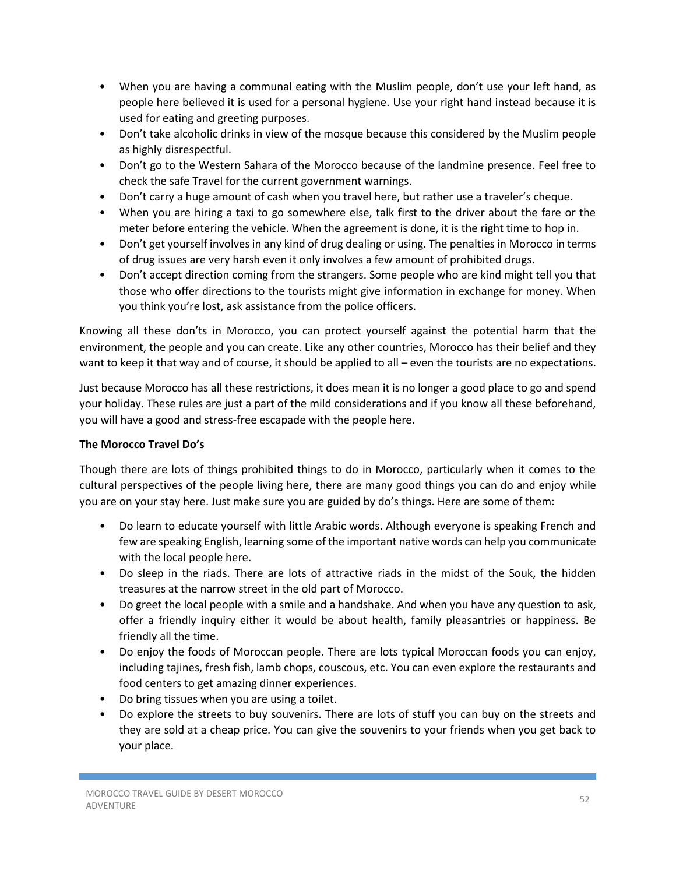- When you are having a communal eating with the Muslim people, don't use your left hand, as people here believed it is used for a personal hygiene. Use your right hand instead because it is used for eating and greeting purposes.
- Don't take alcoholic drinks in view of the mosque because this considered by the Muslim people as highly disrespectful.
- Don't go to the Western Sahara of the Morocco because of the landmine presence. Feel free to check the safe Travel for the current government warnings.
- Don't carry a huge amount of cash when you travel here, but rather use a traveler's cheque.
- When you are hiring a taxi to go somewhere else, talk first to the driver about the fare or the meter before entering the vehicle. When the agreement is done, it is the right time to hop in.
- Don't get yourself involves in any kind of drug dealing or using. The penalties in Morocco in terms of drug issues are very harsh even it only involves a few amount of prohibited drugs.
- Don't accept direction coming from the strangers. Some people who are kind might tell you that those who offer directions to the tourists might give information in exchange for money. When you think you're lost, ask assistance from the police officers.

Knowing all these don'ts in Morocco, you can protect yourself against the potential harm that the environment, the people and you can create. Like any other countries, Morocco has their belief and they want to keep it that way and of course, it should be applied to all – even the tourists are no expectations.

Just because Morocco has all these restrictions, it does mean it is no longer a good place to go and spend your holiday. These rules are just a part of the mild considerations and if you know all these beforehand, you will have a good and stress-free escapade with the people here.

# **The Morocco Travel Do's**

Though there are lots of things prohibited things to do in Morocco, particularly when it comes to the cultural perspectives of the people living here, there are many good things you can do and enjoy while you are on your stay here. Just make sure you are guided by do's things. Here are some of them:

- Do learn to educate yourself with little Arabic words. Although everyone is speaking French and few are speaking English, learning some of the important native words can help you communicate with the local people here.
- Do sleep in the riads. There are lots of attractive riads in the midst of the Souk, the hidden treasures at the narrow street in the old part of Morocco.
- Do greet the local people with a smile and a handshake. And when you have any question to ask, offer a friendly inquiry either it would be about health, family pleasantries or happiness. Be friendly all the time.
- Do enjoy the foods of Moroccan people. There are lots typical Moroccan foods you can enjoy, including tajines, fresh fish, lamb chops, couscous, etc. You can even explore the restaurants and food centers to get amazing dinner experiences.
- Do bring tissues when you are using a toilet.
- Do explore the streets to buy souvenirs. There are lots of stuff you can buy on the streets and they are sold at a cheap price. You can give the souvenirs to your friends when you get back to your place.